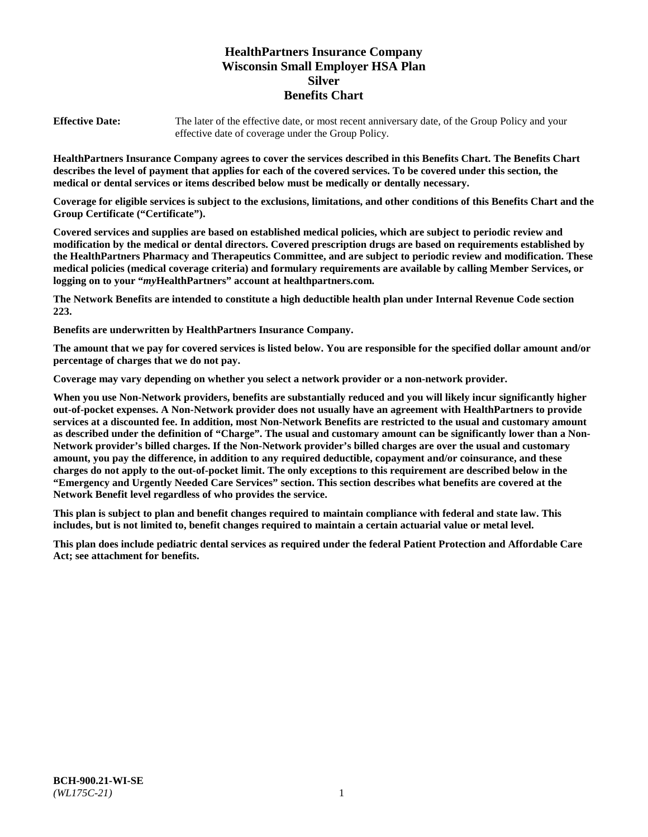# **HealthPartners Insurance Company Wisconsin Small Employer HSA Plan Silver Benefits Chart**

**Effective Date:** The later of the effective date, or most recent anniversary date, of the Group Policy and your effective date of coverage under the Group Policy.

**HealthPartners Insurance Company agrees to cover the services described in this Benefits Chart. The Benefits Chart describes the level of payment that applies for each of the covered services. To be covered under this section, the medical or dental services or items described below must be medically or dentally necessary.**

**Coverage for eligible services is subject to the exclusions, limitations, and other conditions of this Benefits Chart and the Group Certificate ("Certificate").**

**Covered services and supplies are based on established medical policies, which are subject to periodic review and modification by the medical or dental directors. Covered prescription drugs are based on requirements established by the HealthPartners Pharmacy and Therapeutics Committee, and are subject to periodic review and modification. These medical policies (medical coverage criteria) and formulary requirements are available by calling Member Services, or logging on to your "***my***HealthPartners" account at [healthpartners.com.](https://www.healthpartners.com/hp/index.html)**

**The Network Benefits are intended to constitute a high deductible health plan under Internal Revenue Code section 223.**

**Benefits are underwritten by HealthPartners Insurance Company.**

**The amount that we pay for covered services is listed below. You are responsible for the specified dollar amount and/or percentage of charges that we do not pay.**

**Coverage may vary depending on whether you select a network provider or a non-network provider.**

**When you use Non-Network providers, benefits are substantially reduced and you will likely incur significantly higher out-of-pocket expenses. A Non-Network provider does not usually have an agreement with HealthPartners to provide services at a discounted fee. In addition, most Non-Network Benefits are restricted to the usual and customary amount as described under the definition of "Charge". The usual and customary amount can be significantly lower than a Non-Network provider's billed charges. If the Non-Network provider's billed charges are over the usual and customary amount, you pay the difference, in addition to any required deductible, copayment and/or coinsurance, and these charges do not apply to the out-of-pocket limit. The only exceptions to this requirement are described below in the "Emergency and Urgently Needed Care Services" section. This section describes what benefits are covered at the Network Benefit level regardless of who provides the service.**

**This plan is subject to plan and benefit changes required to maintain compliance with federal and state law. This includes, but is not limited to, benefit changes required to maintain a certain actuarial value or metal level.**

**This plan does include pediatric dental services as required under the federal Patient Protection and Affordable Care Act; see attachment for benefits.**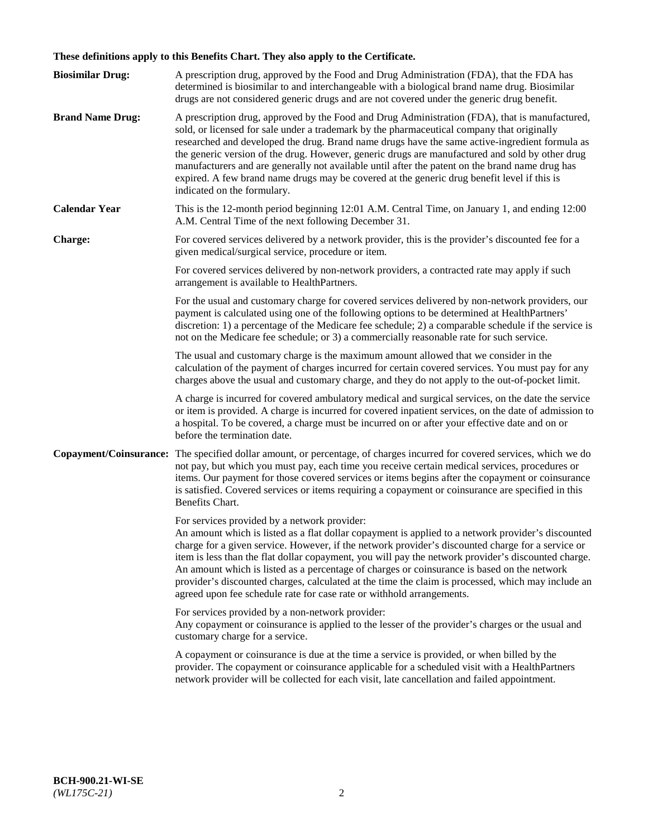# **These definitions apply to this Benefits Chart. They also apply to the Certificate.**

| <b>Biosimilar Drug:</b> | A prescription drug, approved by the Food and Drug Administration (FDA), that the FDA has<br>determined is biosimilar to and interchangeable with a biological brand name drug. Biosimilar<br>drugs are not considered generic drugs and are not covered under the generic drug benefit.                                                                                                                                                                                                                                                                                                                                                     |
|-------------------------|----------------------------------------------------------------------------------------------------------------------------------------------------------------------------------------------------------------------------------------------------------------------------------------------------------------------------------------------------------------------------------------------------------------------------------------------------------------------------------------------------------------------------------------------------------------------------------------------------------------------------------------------|
| <b>Brand Name Drug:</b> | A prescription drug, approved by the Food and Drug Administration (FDA), that is manufactured,<br>sold, or licensed for sale under a trademark by the pharmaceutical company that originally<br>researched and developed the drug. Brand name drugs have the same active-ingredient formula as<br>the generic version of the drug. However, generic drugs are manufactured and sold by other drug<br>manufacturers and are generally not available until after the patent on the brand name drug has<br>expired. A few brand name drugs may be covered at the generic drug benefit level if this is<br>indicated on the formulary.           |
| <b>Calendar Year</b>    | This is the 12-month period beginning 12:01 A.M. Central Time, on January 1, and ending 12:00<br>A.M. Central Time of the next following December 31.                                                                                                                                                                                                                                                                                                                                                                                                                                                                                        |
| <b>Charge:</b>          | For covered services delivered by a network provider, this is the provider's discounted fee for a<br>given medical/surgical service, procedure or item.                                                                                                                                                                                                                                                                                                                                                                                                                                                                                      |
|                         | For covered services delivered by non-network providers, a contracted rate may apply if such<br>arrangement is available to HealthPartners.                                                                                                                                                                                                                                                                                                                                                                                                                                                                                                  |
|                         | For the usual and customary charge for covered services delivered by non-network providers, our<br>payment is calculated using one of the following options to be determined at HealthPartners'<br>discretion: 1) a percentage of the Medicare fee schedule; 2) a comparable schedule if the service is<br>not on the Medicare fee schedule; or 3) a commercially reasonable rate for such service.                                                                                                                                                                                                                                          |
|                         | The usual and customary charge is the maximum amount allowed that we consider in the<br>calculation of the payment of charges incurred for certain covered services. You must pay for any<br>charges above the usual and customary charge, and they do not apply to the out-of-pocket limit.                                                                                                                                                                                                                                                                                                                                                 |
|                         | A charge is incurred for covered ambulatory medical and surgical services, on the date the service<br>or item is provided. A charge is incurred for covered inpatient services, on the date of admission to<br>a hospital. To be covered, a charge must be incurred on or after your effective date and on or<br>before the termination date.                                                                                                                                                                                                                                                                                                |
| Copayment/Coinsurance:  | The specified dollar amount, or percentage, of charges incurred for covered services, which we do<br>not pay, but which you must pay, each time you receive certain medical services, procedures or<br>items. Our payment for those covered services or items begins after the copayment or coinsurance<br>is satisfied. Covered services or items requiring a copayment or coinsurance are specified in this<br>Benefits Chart.                                                                                                                                                                                                             |
|                         | For services provided by a network provider:<br>An amount which is listed as a flat dollar copayment is applied to a network provider's discounted<br>charge for a given service. However, if the network provider's discounted charge for a service or<br>item is less than the flat dollar copayment, you will pay the network provider's discounted charge.<br>An amount which is listed as a percentage of charges or coinsurance is based on the network<br>provider's discounted charges, calculated at the time the claim is processed, which may include an<br>agreed upon fee schedule rate for case rate or withhold arrangements. |
|                         | For services provided by a non-network provider:<br>Any copayment or coinsurance is applied to the lesser of the provider's charges or the usual and<br>customary charge for a service.                                                                                                                                                                                                                                                                                                                                                                                                                                                      |
|                         | A copayment or coinsurance is due at the time a service is provided, or when billed by the<br>provider. The copayment or coinsurance applicable for a scheduled visit with a HealthPartners<br>network provider will be collected for each visit, late cancellation and failed appointment.                                                                                                                                                                                                                                                                                                                                                  |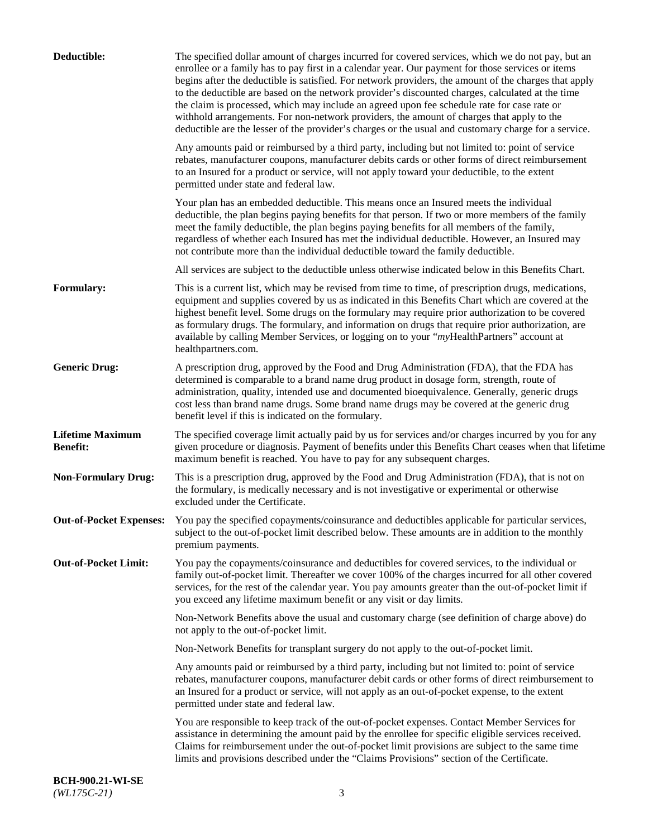| Deductible:                                | The specified dollar amount of charges incurred for covered services, which we do not pay, but an<br>enrollee or a family has to pay first in a calendar year. Our payment for those services or items<br>begins after the deductible is satisfied. For network providers, the amount of the charges that apply<br>to the deductible are based on the network provider's discounted charges, calculated at the time<br>the claim is processed, which may include an agreed upon fee schedule rate for case rate or<br>withhold arrangements. For non-network providers, the amount of charges that apply to the<br>deductible are the lesser of the provider's charges or the usual and customary charge for a service. |
|--------------------------------------------|-------------------------------------------------------------------------------------------------------------------------------------------------------------------------------------------------------------------------------------------------------------------------------------------------------------------------------------------------------------------------------------------------------------------------------------------------------------------------------------------------------------------------------------------------------------------------------------------------------------------------------------------------------------------------------------------------------------------------|
|                                            | Any amounts paid or reimbursed by a third party, including but not limited to: point of service<br>rebates, manufacturer coupons, manufacturer debits cards or other forms of direct reimbursement<br>to an Insured for a product or service, will not apply toward your deductible, to the extent<br>permitted under state and federal law.                                                                                                                                                                                                                                                                                                                                                                            |
|                                            | Your plan has an embedded deductible. This means once an Insured meets the individual<br>deductible, the plan begins paying benefits for that person. If two or more members of the family<br>meet the family deductible, the plan begins paying benefits for all members of the family,<br>regardless of whether each Insured has met the individual deductible. However, an Insured may<br>not contribute more than the individual deductible toward the family deductible.                                                                                                                                                                                                                                           |
|                                            | All services are subject to the deductible unless otherwise indicated below in this Benefits Chart.                                                                                                                                                                                                                                                                                                                                                                                                                                                                                                                                                                                                                     |
| <b>Formulary:</b>                          | This is a current list, which may be revised from time to time, of prescription drugs, medications,<br>equipment and supplies covered by us as indicated in this Benefits Chart which are covered at the<br>highest benefit level. Some drugs on the formulary may require prior authorization to be covered<br>as formulary drugs. The formulary, and information on drugs that require prior authorization, are<br>available by calling Member Services, or logging on to your "myHealthPartners" account at<br>healthpartners.com.                                                                                                                                                                                   |
| <b>Generic Drug:</b>                       | A prescription drug, approved by the Food and Drug Administration (FDA), that the FDA has<br>determined is comparable to a brand name drug product in dosage form, strength, route of<br>administration, quality, intended use and documented bioequivalence. Generally, generic drugs<br>cost less than brand name drugs. Some brand name drugs may be covered at the generic drug<br>benefit level if this is indicated on the formulary.                                                                                                                                                                                                                                                                             |
| <b>Lifetime Maximum</b><br><b>Benefit:</b> | The specified coverage limit actually paid by us for services and/or charges incurred by you for any<br>given procedure or diagnosis. Payment of benefits under this Benefits Chart ceases when that lifetime<br>maximum benefit is reached. You have to pay for any subsequent charges.                                                                                                                                                                                                                                                                                                                                                                                                                                |
| <b>Non-Formulary Drug:</b>                 | This is a prescription drug, approved by the Food and Drug Administration (FDA), that is not on<br>the formulary, is medically necessary and is not investigative or experimental or otherwise<br>excluded under the Certificate.                                                                                                                                                                                                                                                                                                                                                                                                                                                                                       |
|                                            | Out-of-Pocket Expenses: You pay the specified copayments/coinsurance and deductibles applicable for particular services,<br>subject to the out-of-pocket limit described below. These amounts are in addition to the monthly<br>premium payments.                                                                                                                                                                                                                                                                                                                                                                                                                                                                       |
| <b>Out-of-Pocket Limit:</b>                | You pay the copayments/coinsurance and deductibles for covered services, to the individual or<br>family out-of-pocket limit. Thereafter we cover 100% of the charges incurred for all other covered<br>services, for the rest of the calendar year. You pay amounts greater than the out-of-pocket limit if<br>you exceed any lifetime maximum benefit or any visit or day limits.                                                                                                                                                                                                                                                                                                                                      |
|                                            | Non-Network Benefits above the usual and customary charge (see definition of charge above) do<br>not apply to the out-of-pocket limit.                                                                                                                                                                                                                                                                                                                                                                                                                                                                                                                                                                                  |
|                                            | Non-Network Benefits for transplant surgery do not apply to the out-of-pocket limit.                                                                                                                                                                                                                                                                                                                                                                                                                                                                                                                                                                                                                                    |
|                                            | Any amounts paid or reimbursed by a third party, including but not limited to: point of service<br>rebates, manufacturer coupons, manufacturer debit cards or other forms of direct reimbursement to<br>an Insured for a product or service, will not apply as an out-of-pocket expense, to the extent<br>permitted under state and federal law.                                                                                                                                                                                                                                                                                                                                                                        |
|                                            | You are responsible to keep track of the out-of-pocket expenses. Contact Member Services for<br>assistance in determining the amount paid by the enrollee for specific eligible services received.<br>Claims for reimbursement under the out-of-pocket limit provisions are subject to the same time<br>limits and provisions described under the "Claims Provisions" section of the Certificate.                                                                                                                                                                                                                                                                                                                       |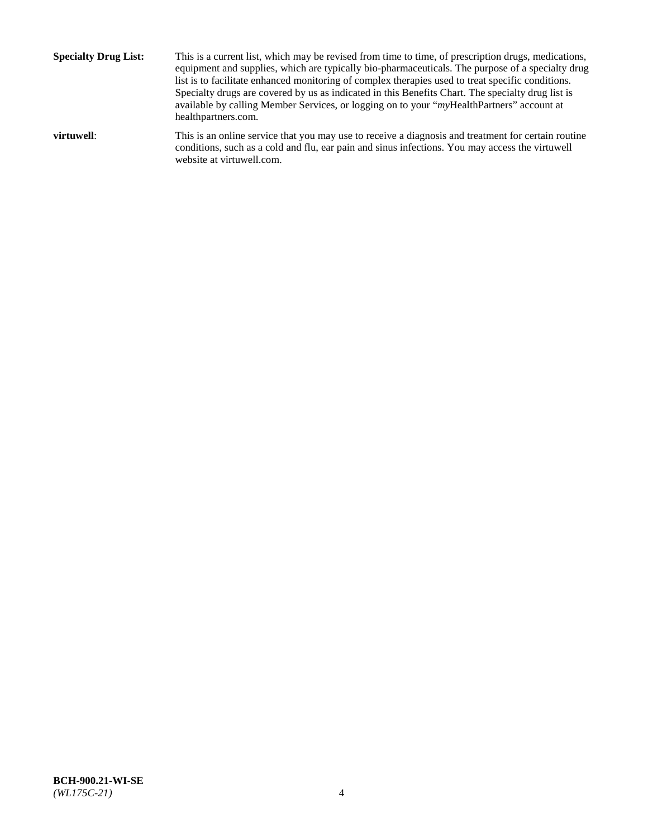**Specialty Drug List:** This is a current list, which may be revised from time to time, of prescription drugs, medications, equipment and supplies, which are typically bio-pharmaceuticals. The purpose of a specialty drug list is to facilitate enhanced monitoring of complex therapies used to treat specific conditions. Specialty drugs are covered by us as indicated in this Benefits Chart. The specialty drug list is available by calling Member Services, or logging on to your "*my*HealthPartners" account at [healthpartners.com.](http://www.healthpartners.com/) **virtuwell:** This is an online service that you may use to receive a diagnosis and treatment for certain routine conditions, such as a cold and flu, ear pain and sinus infections. You may access the virtuwell

website at [virtuwell.com.](http://www.virtuwell.com/)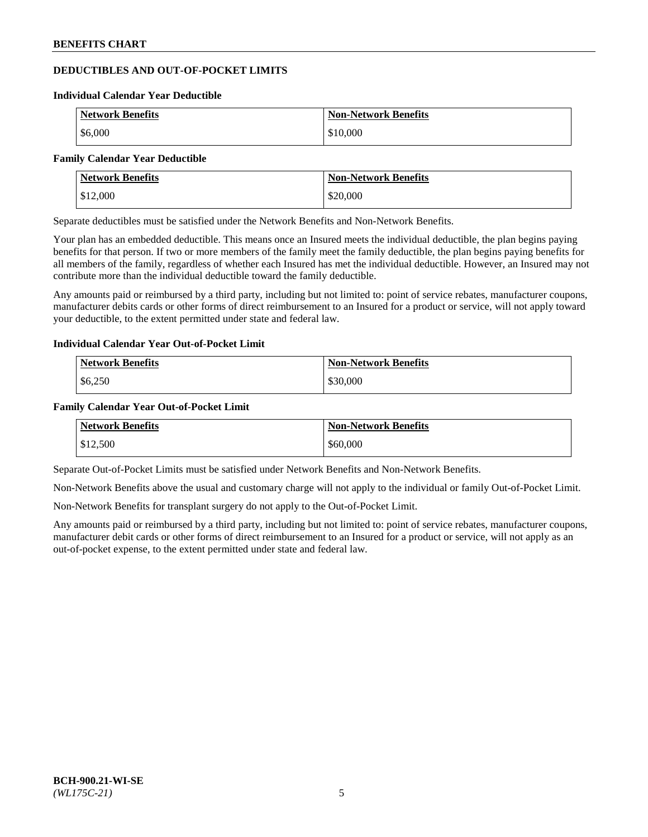## **DEDUCTIBLES AND OUT-OF-POCKET LIMITS**

#### **Individual Calendar Year Deductible**

| <b>Network Benefits</b> | <b>Non-Network Benefits</b> |
|-------------------------|-----------------------------|
| \$6,000                 | \$10,000                    |

#### **Family Calendar Year Deductible**

| <b>Network Benefits</b> | <b>Non-Network Benefits</b> |
|-------------------------|-----------------------------|
| $\vert$ \$12,000        | \$20,000                    |

Separate deductibles must be satisfied under the Network Benefits and Non-Network Benefits.

Your plan has an embedded deductible. This means once an Insured meets the individual deductible, the plan begins paying benefits for that person. If two or more members of the family meet the family deductible, the plan begins paying benefits for all members of the family, regardless of whether each Insured has met the individual deductible. However, an Insured may not contribute more than the individual deductible toward the family deductible.

Any amounts paid or reimbursed by a third party, including but not limited to: point of service rebates, manufacturer coupons, manufacturer debits cards or other forms of direct reimbursement to an Insured for a product or service, will not apply toward your deductible, to the extent permitted under state and federal law.

### **Individual Calendar Year Out-of-Pocket Limit**

| <b>Network Benefits</b> | <b>Non-Network Benefits</b> |
|-------------------------|-----------------------------|
| \$6,250                 | \$30,000                    |

### **Family Calendar Year Out-of-Pocket Limit**

| <b>Network Benefits</b> | Non-Network Benefits |
|-------------------------|----------------------|
| \$12,500                | \$60,000             |

Separate Out-of-Pocket Limits must be satisfied under Network Benefits and Non-Network Benefits.

Non-Network Benefits above the usual and customary charge will not apply to the individual or family Out-of-Pocket Limit.

Non-Network Benefits for transplant surgery do not apply to the Out-of-Pocket Limit.

Any amounts paid or reimbursed by a third party, including but not limited to: point of service rebates, manufacturer coupons, manufacturer debit cards or other forms of direct reimbursement to an Insured for a product or service, will not apply as an out-of-pocket expense, to the extent permitted under state and federal law.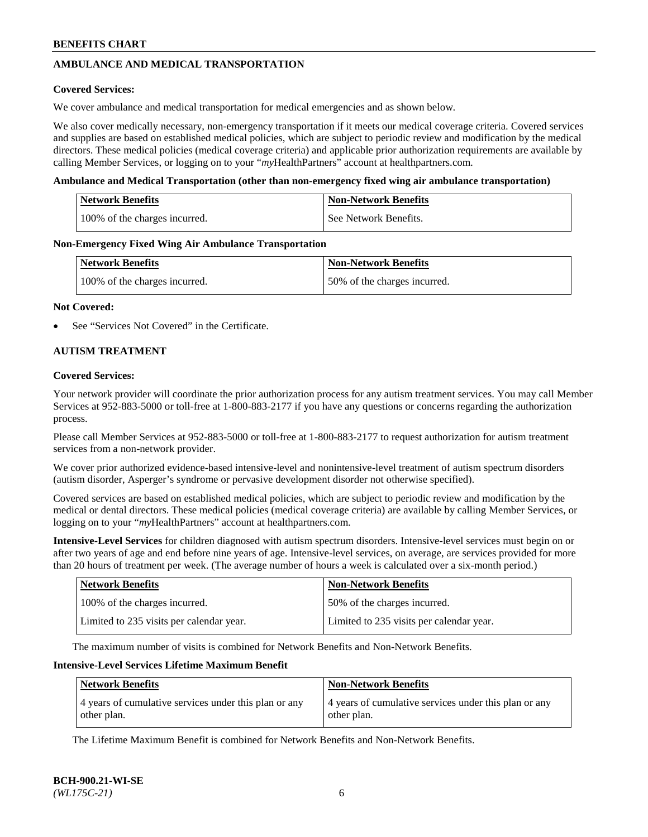## **AMBULANCE AND MEDICAL TRANSPORTATION**

### **Covered Services:**

We cover ambulance and medical transportation for medical emergencies and as shown below.

We also cover medically necessary, non-emergency transportation if it meets our medical coverage criteria. Covered services and supplies are based on established medical policies, which are subject to periodic review and modification by the medical directors. These medical policies (medical coverage criteria) and applicable prior authorization requirements are available by calling Member Services, or logging on to your "*my*HealthPartners" account a[t healthpartners.com.](https://www.healthpartners.com/hp/index.html)

### **Ambulance and Medical Transportation (other than non-emergency fixed wing air ambulance transportation)**

| <b>Network Benefits</b>       | <b>Non-Network Benefits</b> |
|-------------------------------|-----------------------------|
| 100% of the charges incurred. | See Network Benefits.       |

### **Non-Emergency Fixed Wing Air Ambulance Transportation**

| <b>Network Benefits</b>       | <b>Non-Network Benefits</b>  |
|-------------------------------|------------------------------|
| 100% of the charges incurred. | 50% of the charges incurred. |

### **Not Covered:**

See "Services Not Covered" in the Certificate.

## **AUTISM TREATMENT**

### **Covered Services:**

Your network provider will coordinate the prior authorization process for any autism treatment services. You may call Member Services at 952-883-5000 or toll-free at 1-800-883-2177 if you have any questions or concerns regarding the authorization process.

Please call Member Services at 952-883-5000 or toll-free at 1-800-883-2177 to request authorization for autism treatment services from a non-network provider.

We cover prior authorized evidence-based intensive-level and nonintensive-level treatment of autism spectrum disorders (autism disorder, Asperger's syndrome or pervasive development disorder not otherwise specified).

Covered services are based on established medical policies, which are subject to periodic review and modification by the medical or dental directors. These medical policies (medical coverage criteria) are available by calling Member Services, or logging on to your "*my*HealthPartners" account at [healthpartners.com.](https://www.healthpartners.com/hp/index.html)

**Intensive-Level Services** for children diagnosed with autism spectrum disorders. Intensive-level services must begin on or after two years of age and end before nine years of age. Intensive-level services, on average, are services provided for more than 20 hours of treatment per week. (The average number of hours a week is calculated over a six-month period.)

| <b>Network Benefits</b>                  | <b>Non-Network Benefits</b>              |
|------------------------------------------|------------------------------------------|
| 100% of the charges incurred.            | 50% of the charges incurred.             |
| Limited to 235 visits per calendar year. | Limited to 235 visits per calendar year. |

The maximum number of visits is combined for Network Benefits and Non-Network Benefits.

### **Intensive-Level Services Lifetime Maximum Benefit**

| <b>Network Benefits</b>                                              | <b>Non-Network Benefits</b>                                          |
|----------------------------------------------------------------------|----------------------------------------------------------------------|
| 4 years of cumulative services under this plan or any<br>other plan. | 4 years of cumulative services under this plan or any<br>other plan. |

The Lifetime Maximum Benefit is combined for Network Benefits and Non-Network Benefits.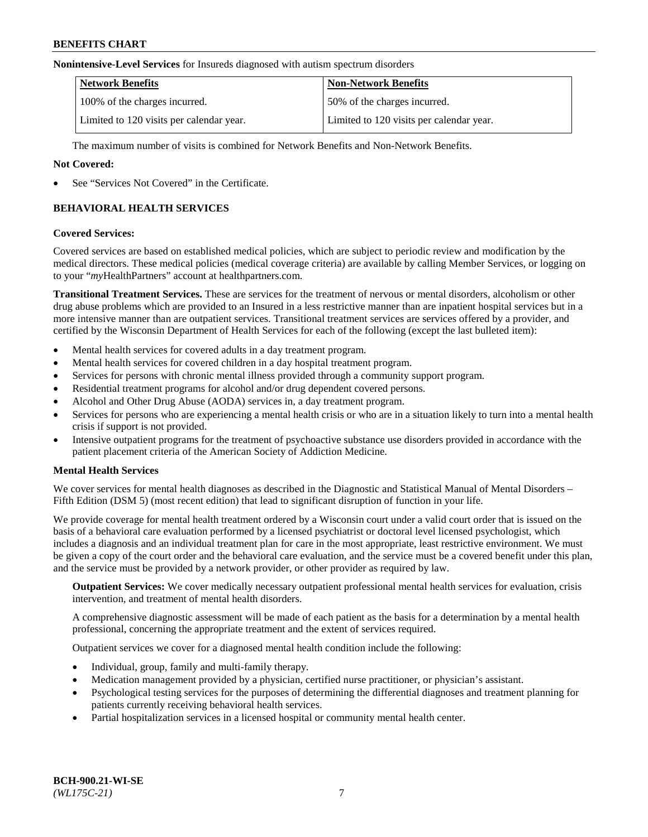#### **Nonintensive-Level Services** for Insureds diagnosed with autism spectrum disorders

| <b>Network Benefits</b>                  | <b>Non-Network Benefits</b>              |
|------------------------------------------|------------------------------------------|
| 100% of the charges incurred.            | 50% of the charges incurred.             |
| Limited to 120 visits per calendar year. | Limited to 120 visits per calendar year. |

The maximum number of visits is combined for Network Benefits and Non-Network Benefits.

### **Not Covered:**

See "Services Not Covered" in the Certificate.

## **BEHAVIORAL HEALTH SERVICES**

### **Covered Services:**

Covered services are based on established medical policies, which are subject to periodic review and modification by the medical directors. These medical policies (medical coverage criteria) are available by calling Member Services, or logging on to your "*my*HealthPartners" account at [healthpartners.com.](https://www.healthpartners.com/hp/index.html)

**Transitional Treatment Services.** These are services for the treatment of nervous or mental disorders, alcoholism or other drug abuse problems which are provided to an Insured in a less restrictive manner than are inpatient hospital services but in a more intensive manner than are outpatient services. Transitional treatment services are services offered by a provider, and certified by the Wisconsin Department of Health Services for each of the following (except the last bulleted item):

- Mental health services for covered adults in a day treatment program.
- Mental health services for covered children in a day hospital treatment program.
- Services for persons with chronic mental illness provided through a community support program.
- Residential treatment programs for alcohol and/or drug dependent covered persons.
- Alcohol and Other Drug Abuse (AODA) services in, a day treatment program.
- Services for persons who are experiencing a mental health crisis or who are in a situation likely to turn into a mental health crisis if support is not provided.
- Intensive outpatient programs for the treatment of psychoactive substance use disorders provided in accordance with the patient placement criteria of the American Society of Addiction Medicine.

## **Mental Health Services**

We cover services for mental health diagnoses as described in the Diagnostic and Statistical Manual of Mental Disorders – Fifth Edition (DSM 5) (most recent edition) that lead to significant disruption of function in your life.

We provide coverage for mental health treatment ordered by a Wisconsin court under a valid court order that is issued on the basis of a behavioral care evaluation performed by a licensed psychiatrist or doctoral level licensed psychologist, which includes a diagnosis and an individual treatment plan for care in the most appropriate, least restrictive environment. We must be given a copy of the court order and the behavioral care evaluation, and the service must be a covered benefit under this plan, and the service must be provided by a network provider, or other provider as required by law.

**Outpatient Services:** We cover medically necessary outpatient professional mental health services for evaluation, crisis intervention, and treatment of mental health disorders.

A comprehensive diagnostic assessment will be made of each patient as the basis for a determination by a mental health professional, concerning the appropriate treatment and the extent of services required.

Outpatient services we cover for a diagnosed mental health condition include the following:

- Individual, group, family and multi-family therapy.
- Medication management provided by a physician, certified nurse practitioner, or physician's assistant.
- Psychological testing services for the purposes of determining the differential diagnoses and treatment planning for patients currently receiving behavioral health services.
- Partial hospitalization services in a licensed hospital or community mental health center.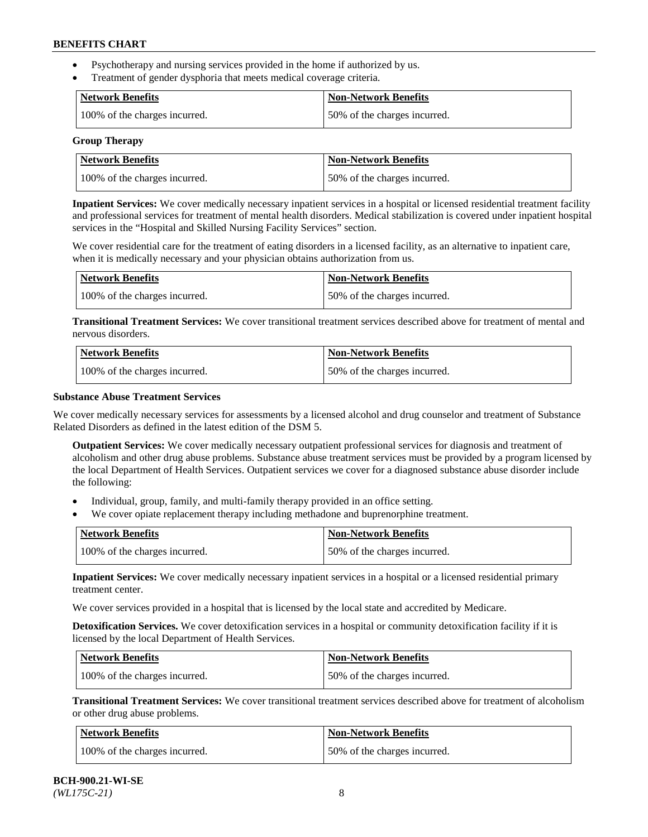- Psychotherapy and nursing services provided in the home if authorized by us.
- Treatment of gender dysphoria that meets medical coverage criteria.

| <b>Network Benefits</b>       | Non-Network Benefits         |
|-------------------------------|------------------------------|
| 100% of the charges incurred. | 50% of the charges incurred. |

#### **Group Therapy**

| Network Benefits              | <b>Non-Network Benefits</b>  |
|-------------------------------|------------------------------|
| 100% of the charges incurred. | 50% of the charges incurred. |

**Inpatient Services:** We cover medically necessary inpatient services in a hospital or licensed residential treatment facility and professional services for treatment of mental health disorders. Medical stabilization is covered under inpatient hospital services in the "Hospital and Skilled Nursing Facility Services" section.

We cover residential care for the treatment of eating disorders in a licensed facility, as an alternative to inpatient care, when it is medically necessary and your physician obtains authorization from us.

| Network Benefits              | <b>Non-Network Benefits</b>  |
|-------------------------------|------------------------------|
| 100% of the charges incurred. | 50% of the charges incurred. |

**Transitional Treatment Services:** We cover transitional treatment services described above for treatment of mental and nervous disorders.

| <b>Network Benefits</b>       | <b>Non-Network Benefits</b>  |
|-------------------------------|------------------------------|
| 100% of the charges incurred. | 50% of the charges incurred. |

### **Substance Abuse Treatment Services**

We cover medically necessary services for assessments by a licensed alcohol and drug counselor and treatment of Substance Related Disorders as defined in the latest edition of the DSM 5.

**Outpatient Services:** We cover medically necessary outpatient professional services for diagnosis and treatment of alcoholism and other drug abuse problems. Substance abuse treatment services must be provided by a program licensed by the local Department of Health Services. Outpatient services we cover for a diagnosed substance abuse disorder include the following:

- Individual, group, family, and multi-family therapy provided in an office setting.
- We cover opiate replacement therapy including methadone and buprenorphine treatment.

| <b>Network Benefits</b>       | <b>Non-Network Benefits</b>  |
|-------------------------------|------------------------------|
| 100% of the charges incurred. | 50% of the charges incurred. |

**Inpatient Services:** We cover medically necessary inpatient services in a hospital or a licensed residential primary treatment center.

We cover services provided in a hospital that is licensed by the local state and accredited by Medicare.

**Detoxification Services.** We cover detoxification services in a hospital or community detoxification facility if it is licensed by the local Department of Health Services.

| Network Benefits              | <b>Non-Network Benefits</b>  |
|-------------------------------|------------------------------|
| 100% of the charges incurred. | 50% of the charges incurred. |

**Transitional Treatment Services:** We cover transitional treatment services described above for treatment of alcoholism or other drug abuse problems.

| Network Benefits              | <b>Non-Network Benefits</b>  |
|-------------------------------|------------------------------|
| 100% of the charges incurred. | 50% of the charges incurred. |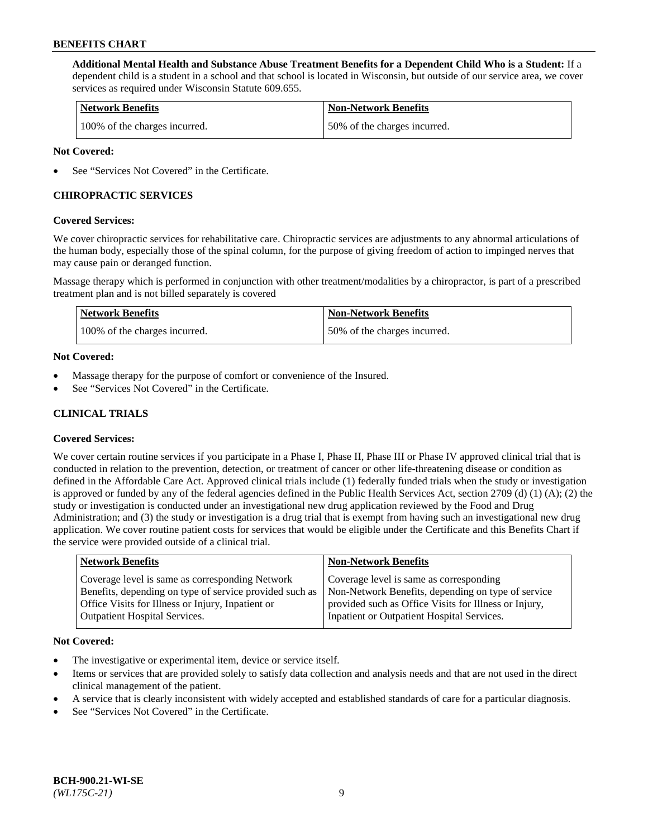**Additional Mental Health and Substance Abuse Treatment Benefits for a Dependent Child Who is a Student:** If a dependent child is a student in a school and that school is located in Wisconsin, but outside of our service area, we cover services as required under Wisconsin Statute 609.655.

| <b>Network Benefits</b>       | <b>Non-Network Benefits</b>  |
|-------------------------------|------------------------------|
| 100% of the charges incurred. | 50% of the charges incurred. |

### **Not Covered:**

See "Services Not Covered" in the Certificate.

## **CHIROPRACTIC SERVICES**

### **Covered Services:**

We cover chiropractic services for rehabilitative care. Chiropractic services are adjustments to any abnormal articulations of the human body, especially those of the spinal column, for the purpose of giving freedom of action to impinged nerves that may cause pain or deranged function.

Massage therapy which is performed in conjunction with other treatment/modalities by a chiropractor, is part of a prescribed treatment plan and is not billed separately is covered

| <b>Network Benefits</b>       | <b>Non-Network Benefits</b>  |
|-------------------------------|------------------------------|
| 100% of the charges incurred. | 50% of the charges incurred. |

### **Not Covered:**

- Massage therapy for the purpose of comfort or convenience of the Insured.
- See "Services Not Covered" in the Certificate.

## **CLINICAL TRIALS**

## **Covered Services:**

We cover certain routine services if you participate in a Phase I, Phase II, Phase III or Phase IV approved clinical trial that is conducted in relation to the prevention, detection, or treatment of cancer or other life-threatening disease or condition as defined in the Affordable Care Act. Approved clinical trials include (1) federally funded trials when the study or investigation is approved or funded by any of the federal agencies defined in the Public Health Services Act, section 2709 (d) (1) (A); (2) the study or investigation is conducted under an investigational new drug application reviewed by the Food and Drug Administration; and (3) the study or investigation is a drug trial that is exempt from having such an investigational new drug application. We cover routine patient costs for services that would be eligible under the Certificate and this Benefits Chart if the service were provided outside of a clinical trial.

| <b>Network Benefits</b>                                                                                                                                                                                 | <b>Non-Network Benefits</b>                                                                                                                                                                          |
|---------------------------------------------------------------------------------------------------------------------------------------------------------------------------------------------------------|------------------------------------------------------------------------------------------------------------------------------------------------------------------------------------------------------|
| Coverage level is same as corresponding Network<br>Benefits, depending on type of service provided such as<br>Office Visits for Illness or Injury, Inpatient or<br><b>Outpatient Hospital Services.</b> | Coverage level is same as corresponding<br>Non-Network Benefits, depending on type of service<br>provided such as Office Visits for Illness or Injury,<br>Inpatient or Outpatient Hospital Services. |
|                                                                                                                                                                                                         |                                                                                                                                                                                                      |

#### **Not Covered:**

- The investigative or experimental item, device or service itself.
- Items or services that are provided solely to satisfy data collection and analysis needs and that are not used in the direct clinical management of the patient.
- A service that is clearly inconsistent with widely accepted and established standards of care for a particular diagnosis.
- See "Services Not Covered" in the Certificate.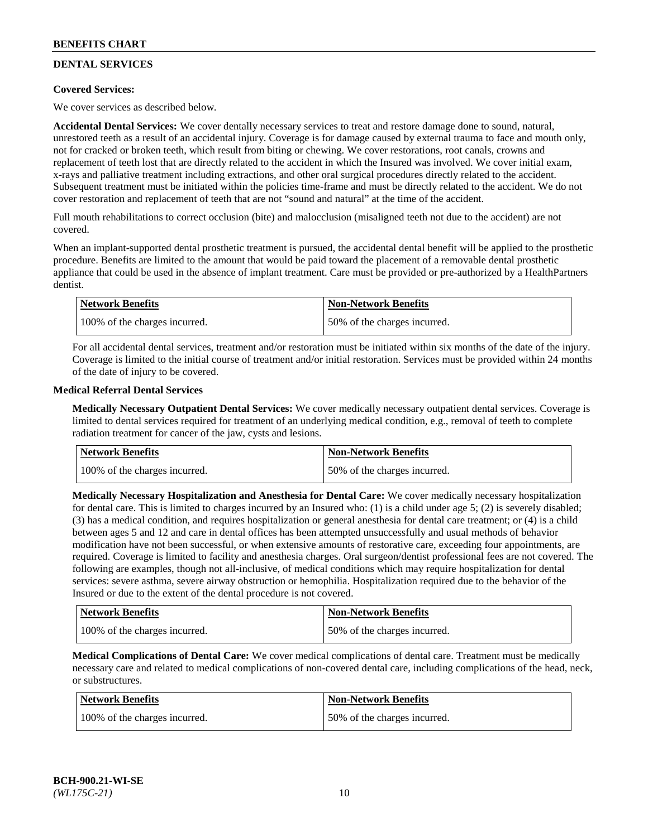## **DENTAL SERVICES**

## **Covered Services:**

We cover services as described below.

**Accidental Dental Services:** We cover dentally necessary services to treat and restore damage done to sound, natural, unrestored teeth as a result of an accidental injury. Coverage is for damage caused by external trauma to face and mouth only, not for cracked or broken teeth, which result from biting or chewing. We cover restorations, root canals, crowns and replacement of teeth lost that are directly related to the accident in which the Insured was involved. We cover initial exam, x-rays and palliative treatment including extractions, and other oral surgical procedures directly related to the accident. Subsequent treatment must be initiated within the policies time-frame and must be directly related to the accident. We do not cover restoration and replacement of teeth that are not "sound and natural" at the time of the accident.

Full mouth rehabilitations to correct occlusion (bite) and malocclusion (misaligned teeth not due to the accident) are not covered.

When an implant-supported dental prosthetic treatment is pursued, the accidental dental benefit will be applied to the prosthetic procedure. Benefits are limited to the amount that would be paid toward the placement of a removable dental prosthetic appliance that could be used in the absence of implant treatment. Care must be provided or pre-authorized by a HealthPartners dentist.

| <b>Network Benefits</b>       | <b>Non-Network Benefits</b>  |
|-------------------------------|------------------------------|
| 100% of the charges incurred. | 50% of the charges incurred. |

For all accidental dental services, treatment and/or restoration must be initiated within six months of the date of the injury. Coverage is limited to the initial course of treatment and/or initial restoration. Services must be provided within 24 months of the date of injury to be covered.

### **Medical Referral Dental Services**

**Medically Necessary Outpatient Dental Services:** We cover medically necessary outpatient dental services. Coverage is limited to dental services required for treatment of an underlying medical condition, e.g., removal of teeth to complete radiation treatment for cancer of the jaw, cysts and lesions.

| <b>Network Benefits</b>       | <b>Non-Network Benefits</b>  |
|-------------------------------|------------------------------|
| 100% of the charges incurred. | 50% of the charges incurred. |

**Medically Necessary Hospitalization and Anesthesia for Dental Care:** We cover medically necessary hospitalization for dental care. This is limited to charges incurred by an Insured who: (1) is a child under age  $5$ ; (2) is severely disabled; (3) has a medical condition, and requires hospitalization or general anesthesia for dental care treatment; or (4) is a child between ages 5 and 12 and care in dental offices has been attempted unsuccessfully and usual methods of behavior modification have not been successful, or when extensive amounts of restorative care, exceeding four appointments, are required. Coverage is limited to facility and anesthesia charges. Oral surgeon/dentist professional fees are not covered. The following are examples, though not all-inclusive, of medical conditions which may require hospitalization for dental services: severe asthma, severe airway obstruction or hemophilia. Hospitalization required due to the behavior of the Insured or due to the extent of the dental procedure is not covered.

| Network Benefits              | <b>Non-Network Benefits</b>  |
|-------------------------------|------------------------------|
| 100% of the charges incurred. | 50% of the charges incurred. |

**Medical Complications of Dental Care:** We cover medical complications of dental care. Treatment must be medically necessary care and related to medical complications of non-covered dental care, including complications of the head, neck, or substructures.

| Network Benefits              | Non-Network Benefits         |
|-------------------------------|------------------------------|
| 100% of the charges incurred. | 50% of the charges incurred. |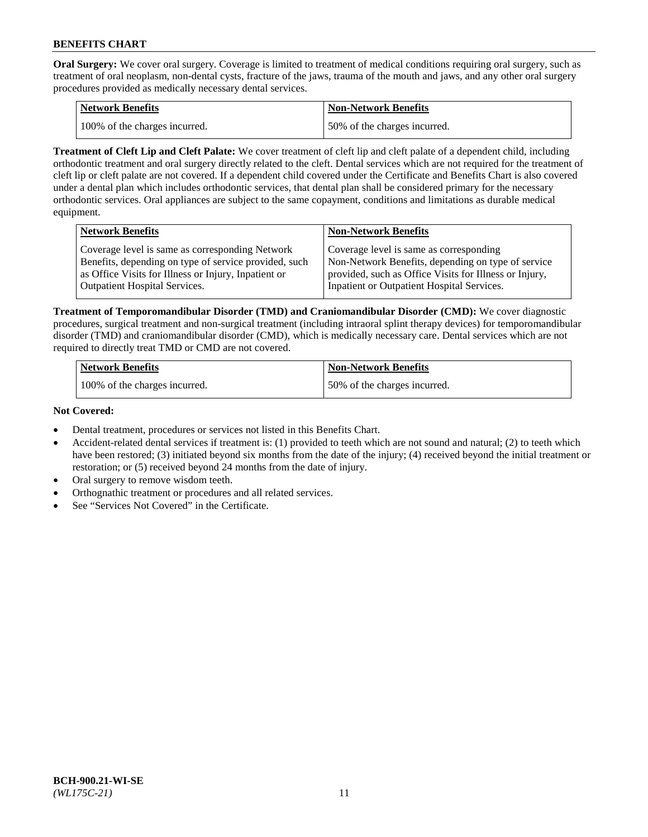**Oral Surgery:** We cover oral surgery. Coverage is limited to treatment of medical conditions requiring oral surgery, such as treatment of oral neoplasm, non-dental cysts, fracture of the jaws, trauma of the mouth and jaws, and any other oral surgery procedures provided as medically necessary dental services.

| <b>Network Benefits</b>       | Non-Network Benefits         |
|-------------------------------|------------------------------|
| 100% of the charges incurred. | 50% of the charges incurred. |

**Treatment of Cleft Lip and Cleft Palate:** We cover treatment of cleft lip and cleft palate of a dependent child, including orthodontic treatment and oral surgery directly related to the cleft. Dental services which are not required for the treatment of cleft lip or cleft palate are not covered. If a dependent child covered under the Certificate and Benefits Chart is also covered under a dental plan which includes orthodontic services, that dental plan shall be considered primary for the necessary orthodontic services. Oral appliances are subject to the same copayment, conditions and limitations as durable medical equipment.

| <b>Network Benefits</b>                               | <b>Non-Network Benefits</b>                            |
|-------------------------------------------------------|--------------------------------------------------------|
| Coverage level is same as corresponding Network       | Coverage level is same as corresponding                |
| Benefits, depending on type of service provided, such | Non-Network Benefits, depending on type of service     |
| as Office Visits for Illness or Injury, Inpatient or  | provided, such as Office Visits for Illness or Injury, |
| Outpatient Hospital Services.                         | Inpatient or Outpatient Hospital Services.             |

**Treatment of Temporomandibular Disorder (TMD) and Craniomandibular Disorder (CMD):** We cover diagnostic procedures, surgical treatment and non-surgical treatment (including intraoral splint therapy devices) for temporomandibular disorder (TMD) and craniomandibular disorder (CMD), which is medically necessary care. Dental services which are not required to directly treat TMD or CMD are not covered.

| <b>Network Benefits</b>       | <b>Non-Network Benefits</b>  |
|-------------------------------|------------------------------|
| 100% of the charges incurred. | 50% of the charges incurred. |

### **Not Covered:**

- Dental treatment, procedures or services not listed in this Benefits Chart.
- Accident-related dental services if treatment is: (1) provided to teeth which are not sound and natural; (2) to teeth which have been restored; (3) initiated beyond six months from the date of the injury; (4) received beyond the initial treatment or restoration; or (5) received beyond 24 months from the date of injury.
- Oral surgery to remove wisdom teeth.
- Orthognathic treatment or procedures and all related services.
- See "Services Not Covered" in the Certificate.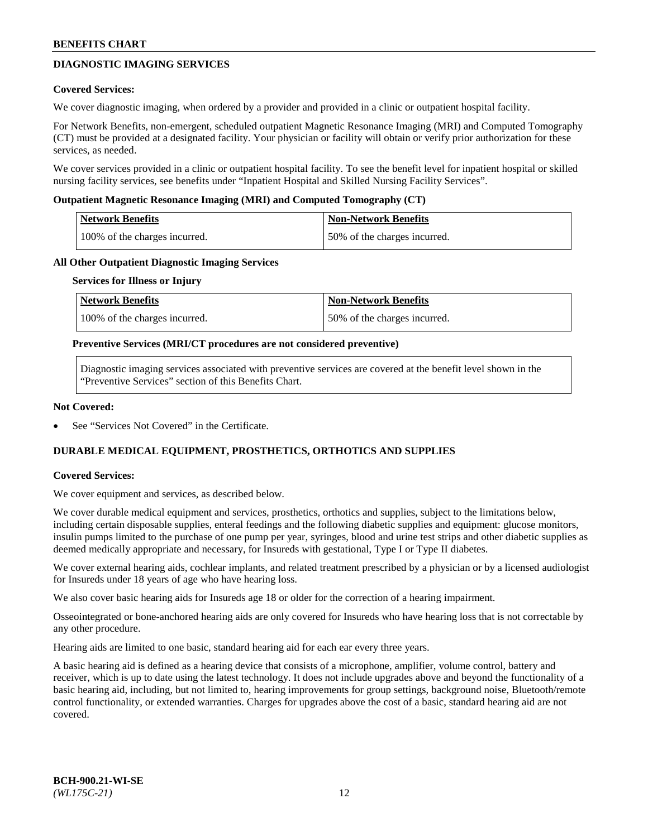## **DIAGNOSTIC IMAGING SERVICES**

### **Covered Services:**

We cover diagnostic imaging, when ordered by a provider and provided in a clinic or outpatient hospital facility.

For Network Benefits, non-emergent, scheduled outpatient Magnetic Resonance Imaging (MRI) and Computed Tomography (CT) must be provided at a designated facility. Your physician or facility will obtain or verify prior authorization for these services, as needed.

We cover services provided in a clinic or outpatient hospital facility. To see the benefit level for inpatient hospital or skilled nursing facility services, see benefits under "Inpatient Hospital and Skilled Nursing Facility Services".

### **Outpatient Magnetic Resonance Imaging (MRI) and Computed Tomography (CT)**

| <b>Network Benefits</b>       | <b>Non-Network Benefits</b>  |
|-------------------------------|------------------------------|
| 100% of the charges incurred. | 50% of the charges incurred. |

### **All Other Outpatient Diagnostic Imaging Services**

#### **Services for Illness or Injury**

| Network Benefits              | <b>Non-Network Benefits</b>  |
|-------------------------------|------------------------------|
| 100% of the charges incurred. | 50% of the charges incurred. |

### **Preventive Services (MRI/CT procedures are not considered preventive)**

Diagnostic imaging services associated with preventive services are covered at the benefit level shown in the "Preventive Services" section of this Benefits Chart.

### **Not Covered:**

See "Services Not Covered" in the Certificate.

## **DURABLE MEDICAL EQUIPMENT, PROSTHETICS, ORTHOTICS AND SUPPLIES**

#### **Covered Services:**

We cover equipment and services, as described below.

We cover durable medical equipment and services, prosthetics, orthotics and supplies, subject to the limitations below, including certain disposable supplies, enteral feedings and the following diabetic supplies and equipment: glucose monitors, insulin pumps limited to the purchase of one pump per year, syringes, blood and urine test strips and other diabetic supplies as deemed medically appropriate and necessary, for Insureds with gestational, Type I or Type II diabetes.

We cover external hearing aids, cochlear implants, and related treatment prescribed by a physician or by a licensed audiologist for Insureds under 18 years of age who have hearing loss.

We also cover basic hearing aids for Insureds age 18 or older for the correction of a hearing impairment.

Osseointegrated or bone-anchored hearing aids are only covered for Insureds who have hearing loss that is not correctable by any other procedure.

Hearing aids are limited to one basic, standard hearing aid for each ear every three years.

A basic hearing aid is defined as a hearing device that consists of a microphone, amplifier, volume control, battery and receiver, which is up to date using the latest technology. It does not include upgrades above and beyond the functionality of a basic hearing aid, including, but not limited to, hearing improvements for group settings, background noise, Bluetooth/remote control functionality, or extended warranties. Charges for upgrades above the cost of a basic, standard hearing aid are not covered.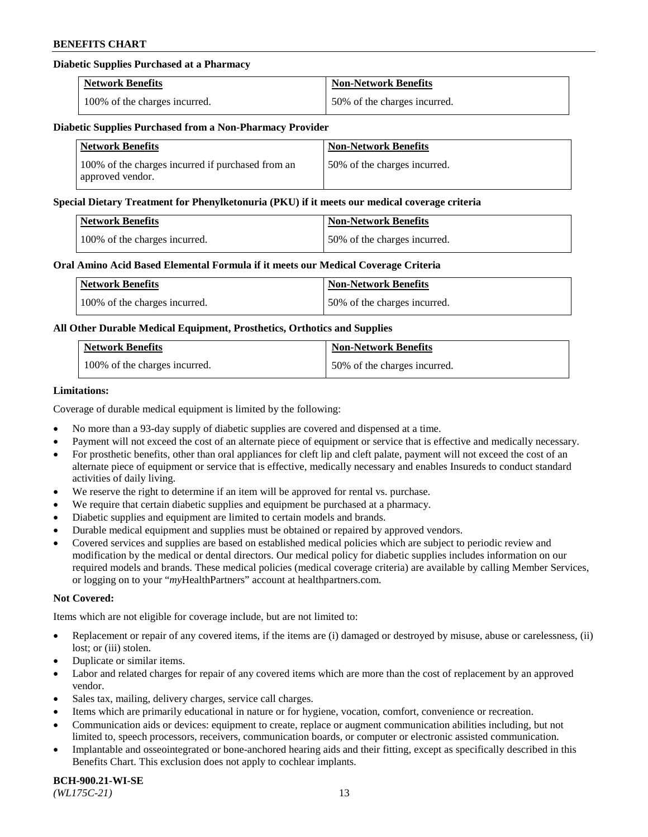## **Diabetic Supplies Purchased at a Pharmacy**

| <b>Network Benefits</b>       | <b>Non-Network Benefits</b>  |
|-------------------------------|------------------------------|
| 100% of the charges incurred. | 50% of the charges incurred. |

#### **Diabetic Supplies Purchased from a Non-Pharmacy Provider**

| <b>Network Benefits</b>                                               | <b>Non-Network Benefits</b>  |
|-----------------------------------------------------------------------|------------------------------|
| 100% of the charges incurred if purchased from an<br>approved vendor. | 50% of the charges incurred. |

#### **Special Dietary Treatment for Phenylketonuria (PKU) if it meets our medical coverage criteria**

| <b>Network Benefits</b>       | <b>Non-Network Benefits</b>  |
|-------------------------------|------------------------------|
| 100% of the charges incurred. | 50% of the charges incurred. |

### **Oral Amino Acid Based Elemental Formula if it meets our Medical Coverage Criteria**

| Network Benefits              | <b>Non-Network Benefits</b>  |
|-------------------------------|------------------------------|
| 100% of the charges incurred. | 50% of the charges incurred. |

### **All Other Durable Medical Equipment, Prosthetics, Orthotics and Supplies**

| <b>Network Benefits</b>       | <b>Non-Network Benefits</b>  |
|-------------------------------|------------------------------|
| 100% of the charges incurred. | 50% of the charges incurred. |

### **Limitations:**

Coverage of durable medical equipment is limited by the following:

- No more than a 93-day supply of diabetic supplies are covered and dispensed at a time.
- Payment will not exceed the cost of an alternate piece of equipment or service that is effective and medically necessary.
- For prosthetic benefits, other than oral appliances for cleft lip and cleft palate, payment will not exceed the cost of an alternate piece of equipment or service that is effective, medically necessary and enables Insureds to conduct standard activities of daily living.
- We reserve the right to determine if an item will be approved for rental vs. purchase.
- We require that certain diabetic supplies and equipment be purchased at a pharmacy.
- Diabetic supplies and equipment are limited to certain models and brands.
- Durable medical equipment and supplies must be obtained or repaired by approved vendors.
- Covered services and supplies are based on established medical policies which are subject to periodic review and modification by the medical or dental directors. Our medical policy for diabetic supplies includes information on our required models and brands. These medical policies (medical coverage criteria) are available by calling Member Services, or logging on to your "*my*HealthPartners" account a[t healthpartners.com.](https://www.healthpartners.com/hp/index.html)

#### **Not Covered:**

Items which are not eligible for coverage include, but are not limited to:

- Replacement or repair of any covered items, if the items are (i) damaged or destroyed by misuse, abuse or carelessness, (ii) lost; or (iii) stolen.
- Duplicate or similar items.
- Labor and related charges for repair of any covered items which are more than the cost of replacement by an approved vendor.
- Sales tax, mailing, delivery charges, service call charges.
- Items which are primarily educational in nature or for hygiene, vocation, comfort, convenience or recreation.
- Communication aids or devices: equipment to create, replace or augment communication abilities including, but not limited to, speech processors, receivers, communication boards, or computer or electronic assisted communication.
- Implantable and osseointegrated or bone-anchored hearing aids and their fitting, except as specifically described in this Benefits Chart. This exclusion does not apply to cochlear implants.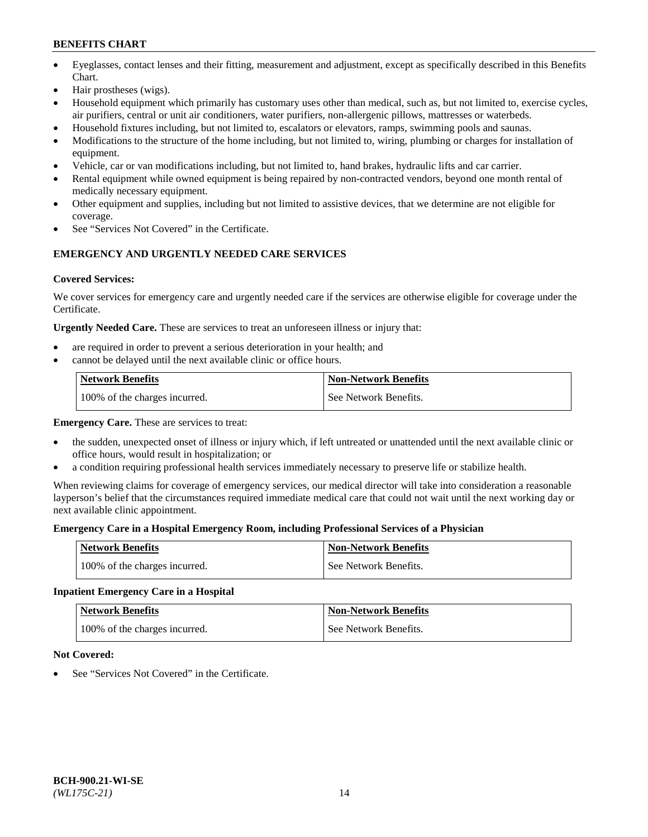- Eyeglasses, contact lenses and their fitting, measurement and adjustment, except as specifically described in this Benefits Chart.
- Hair prostheses (wigs).
- Household equipment which primarily has customary uses other than medical, such as, but not limited to, exercise cycles, air purifiers, central or unit air conditioners, water purifiers, non-allergenic pillows, mattresses or waterbeds.
- Household fixtures including, but not limited to, escalators or elevators, ramps, swimming pools and saunas.
- Modifications to the structure of the home including, but not limited to, wiring, plumbing or charges for installation of equipment.
- Vehicle, car or van modifications including, but not limited to, hand brakes, hydraulic lifts and car carrier.
- Rental equipment while owned equipment is being repaired by non-contracted vendors, beyond one month rental of medically necessary equipment.
- Other equipment and supplies, including but not limited to assistive devices, that we determine are not eligible for coverage.
- See "Services Not Covered" in the Certificate.

## **EMERGENCY AND URGENTLY NEEDED CARE SERVICES**

## **Covered Services:**

We cover services for emergency care and urgently needed care if the services are otherwise eligible for coverage under the Certificate.

**Urgently Needed Care.** These are services to treat an unforeseen illness or injury that:

- are required in order to prevent a serious deterioration in your health; and
- cannot be delayed until the next available clinic or office hours.

| <b>Network Benefits</b>       | <b>Non-Network Benefits</b> |
|-------------------------------|-----------------------------|
| 100% of the charges incurred. | See Network Benefits.       |

**Emergency Care.** These are services to treat:

- the sudden, unexpected onset of illness or injury which, if left untreated or unattended until the next available clinic or office hours, would result in hospitalization; or
- a condition requiring professional health services immediately necessary to preserve life or stabilize health.

When reviewing claims for coverage of emergency services, our medical director will take into consideration a reasonable layperson's belief that the circumstances required immediate medical care that could not wait until the next working day or next available clinic appointment.

## **Emergency Care in a Hospital Emergency Room, including Professional Services of a Physician**

| <b>Network Benefits</b>       | <b>Non-Network Benefits</b> |
|-------------------------------|-----------------------------|
| 100% of the charges incurred. | See Network Benefits.       |

## **Inpatient Emergency Care in a Hospital**

| <b>Network Benefits</b>       | <b>Non-Network Benefits</b> |
|-------------------------------|-----------------------------|
| 100% of the charges incurred. | See Network Benefits.       |

## **Not Covered:**

See "Services Not Covered" in the Certificate.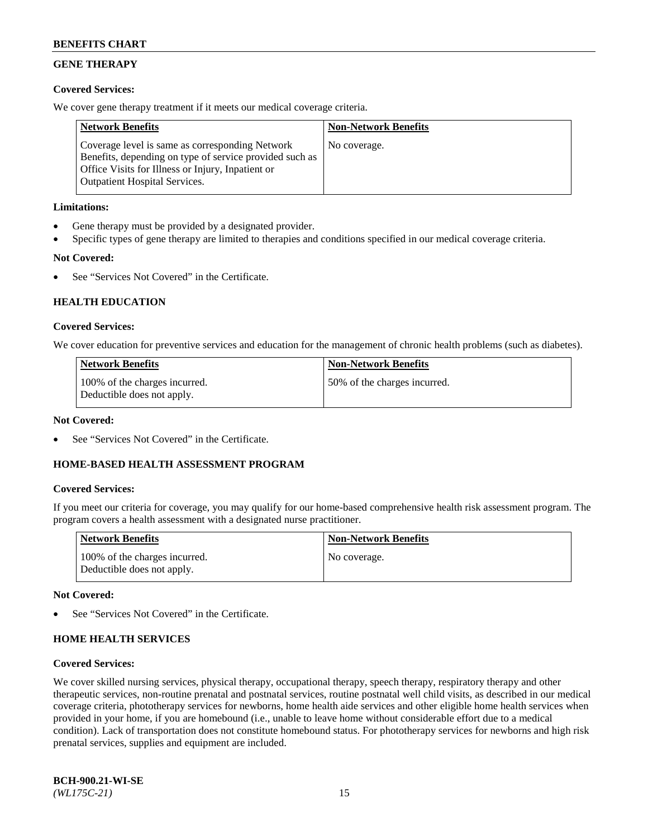## **GENE THERAPY**

## **Covered Services:**

We cover gene therapy treatment if it meets our medical coverage criteria.

| <b>Network Benefits</b>                                                                                                                                                                                 | <b>Non-Network Benefits</b> |
|---------------------------------------------------------------------------------------------------------------------------------------------------------------------------------------------------------|-----------------------------|
| Coverage level is same as corresponding Network<br>Benefits, depending on type of service provided such as<br>Office Visits for Illness or Injury, Inpatient or<br><b>Outpatient Hospital Services.</b> | No coverage.                |

## **Limitations:**

- Gene therapy must be provided by a designated provider.
- Specific types of gene therapy are limited to therapies and conditions specified in our medical coverage criteria.

## **Not Covered:**

See "Services Not Covered" in the Certificate.

## **HEALTH EDUCATION**

### **Covered Services:**

We cover education for preventive services and education for the management of chronic health problems (such as diabetes).

| <b>Network Benefits</b>                                     | <b>Non-Network Benefits</b>  |
|-------------------------------------------------------------|------------------------------|
| 100% of the charges incurred.<br>Deductible does not apply. | 50% of the charges incurred. |

#### **Not Covered:**

See "Services Not Covered" in the Certificate.

## **HOME-BASED HEALTH ASSESSMENT PROGRAM**

#### **Covered Services:**

If you meet our criteria for coverage, you may qualify for our home-based comprehensive health risk assessment program. The program covers a health assessment with a designated nurse practitioner.

| Network Benefits                                            | <b>Non-Network Benefits</b> |
|-------------------------------------------------------------|-----------------------------|
| 100% of the charges incurred.<br>Deductible does not apply. | No coverage.                |

### **Not Covered:**

See "Services Not Covered" in the Certificate.

## **HOME HEALTH SERVICES**

#### **Covered Services:**

We cover skilled nursing services, physical therapy, occupational therapy, speech therapy, respiratory therapy and other therapeutic services, non-routine prenatal and postnatal services, routine postnatal well child visits, as described in our medical coverage criteria, phototherapy services for newborns, home health aide services and other eligible home health services when provided in your home, if you are homebound (i.e., unable to leave home without considerable effort due to a medical condition). Lack of transportation does not constitute homebound status. For phototherapy services for newborns and high risk prenatal services, supplies and equipment are included.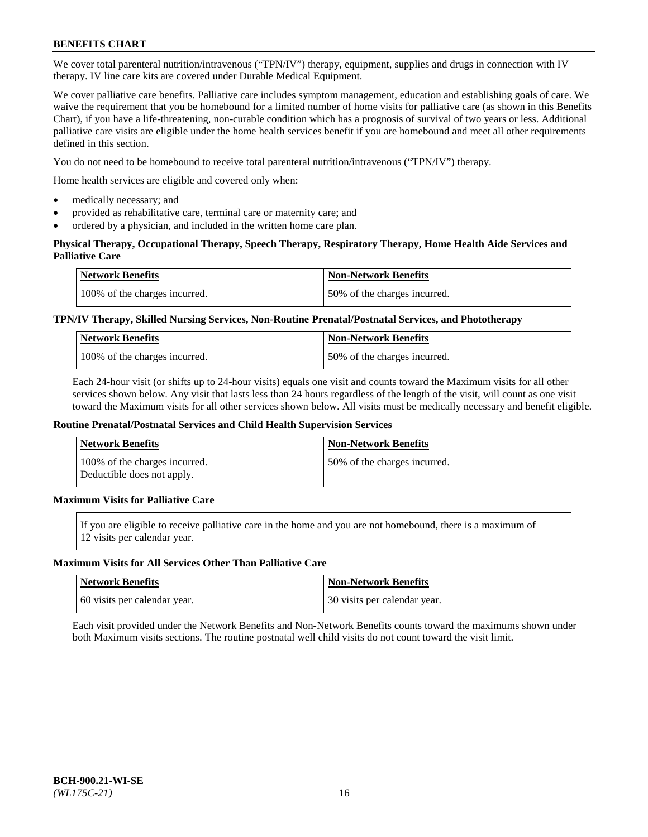We cover total parenteral nutrition/intravenous ("TPN/IV") therapy, equipment, supplies and drugs in connection with IV therapy. IV line care kits are covered under Durable Medical Equipment.

We cover palliative care benefits. Palliative care includes symptom management, education and establishing goals of care. We waive the requirement that you be homebound for a limited number of home visits for palliative care (as shown in this Benefits Chart), if you have a life-threatening, non-curable condition which has a prognosis of survival of two years or less. Additional palliative care visits are eligible under the home health services benefit if you are homebound and meet all other requirements defined in this section.

You do not need to be homebound to receive total parenteral nutrition/intravenous ("TPN/IV") therapy.

Home health services are eligible and covered only when:

- medically necessary; and
- provided as rehabilitative care, terminal care or maternity care; and
- ordered by a physician, and included in the written home care plan.

## **Physical Therapy, Occupational Therapy, Speech Therapy, Respiratory Therapy, Home Health Aide Services and Palliative Care**

| <b>Network Benefits</b>       | <b>Non-Network Benefits</b>  |
|-------------------------------|------------------------------|
| 100% of the charges incurred. | 50% of the charges incurred. |

## **TPN/IV Therapy, Skilled Nursing Services, Non-Routine Prenatal/Postnatal Services, and Phototherapy**

| <b>Network Benefits</b>       | <b>Non-Network Benefits</b>  |
|-------------------------------|------------------------------|
| 100% of the charges incurred. | 50% of the charges incurred. |

Each 24-hour visit (or shifts up to 24-hour visits) equals one visit and counts toward the Maximum visits for all other services shown below. Any visit that lasts less than 24 hours regardless of the length of the visit, will count as one visit toward the Maximum visits for all other services shown below. All visits must be medically necessary and benefit eligible.

#### **Routine Prenatal/Postnatal Services and Child Health Supervision Services**

| Network Benefits                                            | <b>Non-Network Benefits</b>  |
|-------------------------------------------------------------|------------------------------|
| 100% of the charges incurred.<br>Deductible does not apply. | 50% of the charges incurred. |

## **Maximum Visits for Palliative Care**

If you are eligible to receive palliative care in the home and you are not homebound, there is a maximum of 12 visits per calendar year.

#### **Maximum Visits for All Services Other Than Palliative Care**

| Network Benefits             | <b>Non-Network Benefits</b>    |
|------------------------------|--------------------------------|
| 60 visits per calendar year. | 1 30 visits per calendar year. |

Each visit provided under the Network Benefits and Non-Network Benefits counts toward the maximums shown under both Maximum visits sections. The routine postnatal well child visits do not count toward the visit limit.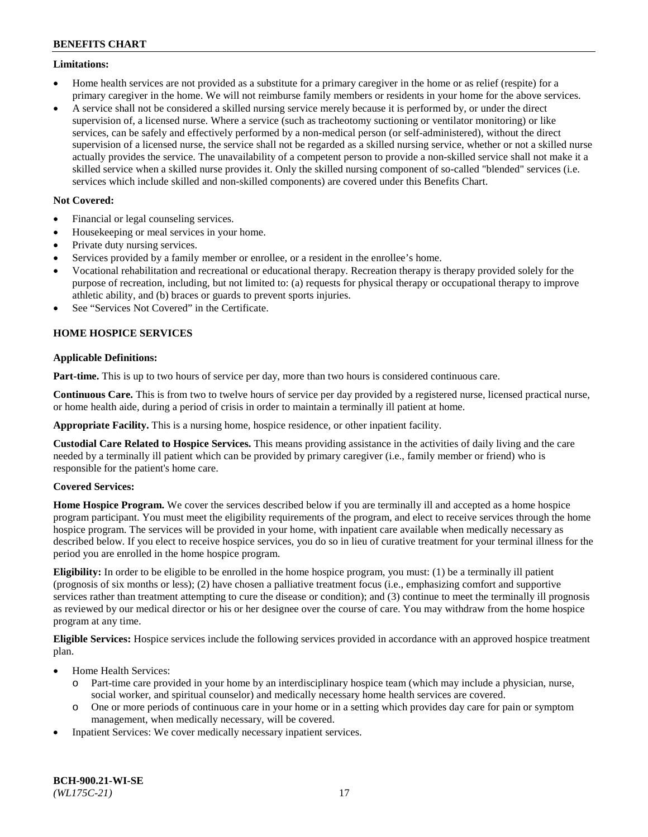### **Limitations:**

- Home health services are not provided as a substitute for a primary caregiver in the home or as relief (respite) for a primary caregiver in the home. We will not reimburse family members or residents in your home for the above services.
- A service shall not be considered a skilled nursing service merely because it is performed by, or under the direct supervision of, a licensed nurse. Where a service (such as tracheotomy suctioning or ventilator monitoring) or like services, can be safely and effectively performed by a non-medical person (or self-administered), without the direct supervision of a licensed nurse, the service shall not be regarded as a skilled nursing service, whether or not a skilled nurse actually provides the service. The unavailability of a competent person to provide a non-skilled service shall not make it a skilled service when a skilled nurse provides it. Only the skilled nursing component of so-called "blended" services (i.e. services which include skilled and non-skilled components) are covered under this Benefits Chart.

## **Not Covered:**

- Financial or legal counseling services.
- Housekeeping or meal services in your home.
- Private duty nursing services.
- Services provided by a family member or enrollee, or a resident in the enrollee's home.
- Vocational rehabilitation and recreational or educational therapy. Recreation therapy is therapy provided solely for the purpose of recreation, including, but not limited to: (a) requests for physical therapy or occupational therapy to improve athletic ability, and (b) braces or guards to prevent sports injuries.
- See "Services Not Covered" in the Certificate.

## **HOME HOSPICE SERVICES**

## **Applicable Definitions:**

**Part-time.** This is up to two hours of service per day, more than two hours is considered continuous care.

**Continuous Care.** This is from two to twelve hours of service per day provided by a registered nurse, licensed practical nurse, or home health aide, during a period of crisis in order to maintain a terminally ill patient at home.

**Appropriate Facility.** This is a nursing home, hospice residence, or other inpatient facility.

**Custodial Care Related to Hospice Services.** This means providing assistance in the activities of daily living and the care needed by a terminally ill patient which can be provided by primary caregiver (i.e., family member or friend) who is responsible for the patient's home care.

## **Covered Services:**

**Home Hospice Program.** We cover the services described below if you are terminally ill and accepted as a home hospice program participant. You must meet the eligibility requirements of the program, and elect to receive services through the home hospice program. The services will be provided in your home, with inpatient care available when medically necessary as described below. If you elect to receive hospice services, you do so in lieu of curative treatment for your terminal illness for the period you are enrolled in the home hospice program.

**Eligibility:** In order to be eligible to be enrolled in the home hospice program, you must: (1) be a terminally ill patient (prognosis of six months or less); (2) have chosen a palliative treatment focus (i.e., emphasizing comfort and supportive services rather than treatment attempting to cure the disease or condition); and (3) continue to meet the terminally ill prognosis as reviewed by our medical director or his or her designee over the course of care. You may withdraw from the home hospice program at any time.

**Eligible Services:** Hospice services include the following services provided in accordance with an approved hospice treatment plan.

- Home Health Services:
	- o Part-time care provided in your home by an interdisciplinary hospice team (which may include a physician, nurse, social worker, and spiritual counselor) and medically necessary home health services are covered.
	- o One or more periods of continuous care in your home or in a setting which provides day care for pain or symptom management, when medically necessary, will be covered.
- Inpatient Services: We cover medically necessary inpatient services.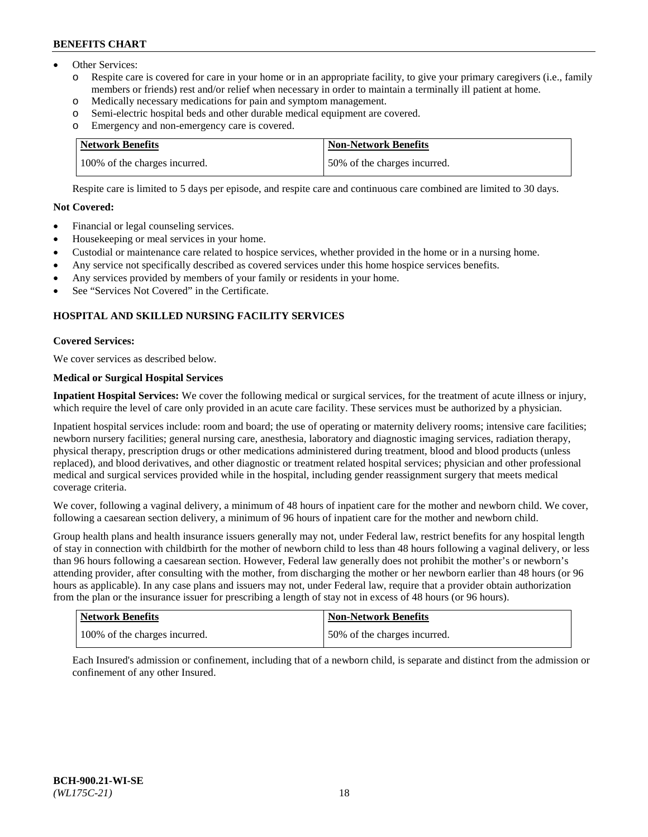- Other Services:
	- Respite care is covered for care in your home or in an appropriate facility, to give your primary caregivers (i.e., family members or friends) rest and/or relief when necessary in order to maintain a terminally ill patient at home.
	- o Medically necessary medications for pain and symptom management.
	- o Semi-electric hospital beds and other durable medical equipment are covered.
	- Emergency and non-emergency care is covered.

| Network Benefits              | <b>Non-Network Benefits</b>  |
|-------------------------------|------------------------------|
| 100% of the charges incurred. | 50% of the charges incurred. |

Respite care is limited to 5 days per episode, and respite care and continuous care combined are limited to 30 days.

## **Not Covered:**

- Financial or legal counseling services.
- Housekeeping or meal services in your home.
- Custodial or maintenance care related to hospice services, whether provided in the home or in a nursing home.
- Any service not specifically described as covered services under this home hospice services benefits.
- Any services provided by members of your family or residents in your home.
- See "Services Not Covered" in the Certificate.

## **HOSPITAL AND SKILLED NURSING FACILITY SERVICES**

## **Covered Services:**

We cover services as described below.

## **Medical or Surgical Hospital Services**

**Inpatient Hospital Services:** We cover the following medical or surgical services, for the treatment of acute illness or injury, which require the level of care only provided in an acute care facility. These services must be authorized by a physician.

Inpatient hospital services include: room and board; the use of operating or maternity delivery rooms; intensive care facilities; newborn nursery facilities; general nursing care, anesthesia, laboratory and diagnostic imaging services, radiation therapy, physical therapy, prescription drugs or other medications administered during treatment, blood and blood products (unless replaced), and blood derivatives, and other diagnostic or treatment related hospital services; physician and other professional medical and surgical services provided while in the hospital, including gender reassignment surgery that meets medical coverage criteria.

We cover, following a vaginal delivery, a minimum of 48 hours of inpatient care for the mother and newborn child. We cover, following a caesarean section delivery, a minimum of 96 hours of inpatient care for the mother and newborn child.

Group health plans and health insurance issuers generally may not, under Federal law, restrict benefits for any hospital length of stay in connection with childbirth for the mother of newborn child to less than 48 hours following a vaginal delivery, or less than 96 hours following a caesarean section. However, Federal law generally does not prohibit the mother's or newborn's attending provider, after consulting with the mother, from discharging the mother or her newborn earlier than 48 hours (or 96 hours as applicable). In any case plans and issuers may not, under Federal law, require that a provider obtain authorization from the plan or the insurance issuer for prescribing a length of stay not in excess of 48 hours (or 96 hours).

| <b>Network Benefits</b>       | Non-Network Benefits         |
|-------------------------------|------------------------------|
| 100% of the charges incurred. | 50% of the charges incurred. |

Each Insured's admission or confinement, including that of a newborn child, is separate and distinct from the admission or confinement of any other Insured.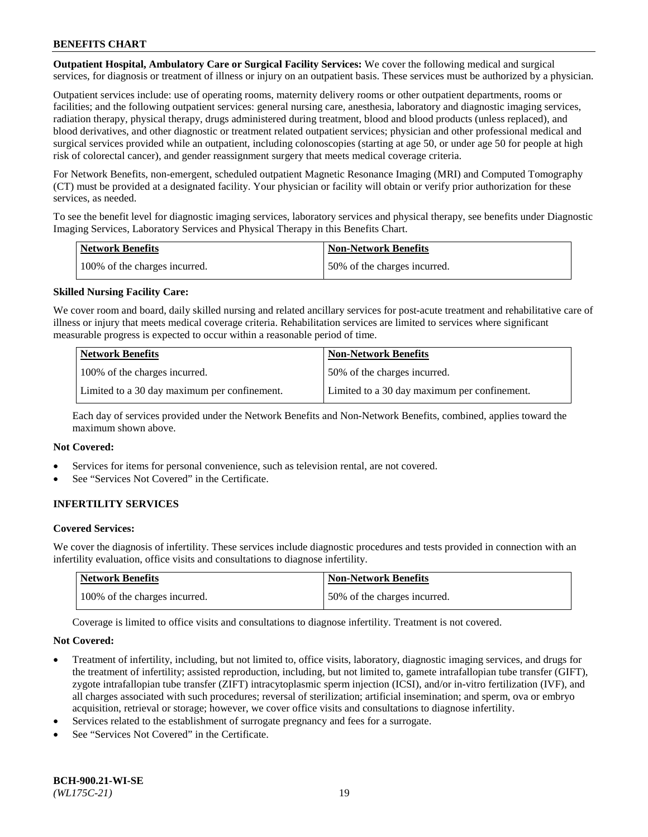**Outpatient Hospital, Ambulatory Care or Surgical Facility Services:** We cover the following medical and surgical services, for diagnosis or treatment of illness or injury on an outpatient basis. These services must be authorized by a physician.

Outpatient services include: use of operating rooms, maternity delivery rooms or other outpatient departments, rooms or facilities; and the following outpatient services: general nursing care, anesthesia, laboratory and diagnostic imaging services, radiation therapy, physical therapy, drugs administered during treatment, blood and blood products (unless replaced), and blood derivatives, and other diagnostic or treatment related outpatient services; physician and other professional medical and surgical services provided while an outpatient, including colonoscopies (starting at age 50, or under age 50 for people at high risk of colorectal cancer), and gender reassignment surgery that meets medical coverage criteria.

For Network Benefits, non-emergent, scheduled outpatient Magnetic Resonance Imaging (MRI) and Computed Tomography (CT) must be provided at a designated facility. Your physician or facility will obtain or verify prior authorization for these services, as needed.

To see the benefit level for diagnostic imaging services, laboratory services and physical therapy, see benefits under Diagnostic Imaging Services, Laboratory Services and Physical Therapy in this Benefits Chart.

| <b>Network Benefits</b>       | <b>Non-Network Benefits</b>  |
|-------------------------------|------------------------------|
| 100% of the charges incurred. | 50% of the charges incurred. |

## **Skilled Nursing Facility Care:**

We cover room and board, daily skilled nursing and related ancillary services for post-acute treatment and rehabilitative care of illness or injury that meets medical coverage criteria. Rehabilitation services are limited to services where significant measurable progress is expected to occur within a reasonable period of time.

| <b>Network Benefits</b>                      | <b>Non-Network Benefits</b>                  |
|----------------------------------------------|----------------------------------------------|
| 100% of the charges incurred.                | 150% of the charges incurred.                |
| Limited to a 30 day maximum per confinement. | Limited to a 30 day maximum per confinement. |

Each day of services provided under the Network Benefits and Non-Network Benefits, combined, applies toward the maximum shown above.

#### **Not Covered:**

- Services for items for personal convenience, such as television rental, are not covered.
- See "Services Not Covered" in the Certificate.

## **INFERTILITY SERVICES**

#### **Covered Services:**

We cover the diagnosis of infertility. These services include diagnostic procedures and tests provided in connection with an infertility evaluation, office visits and consultations to diagnose infertility.

| <b>Network Benefits</b>       | <b>Non-Network Benefits</b>  |
|-------------------------------|------------------------------|
| 100% of the charges incurred. | 50% of the charges incurred. |

Coverage is limited to office visits and consultations to diagnose infertility. Treatment is not covered.

#### **Not Covered:**

- Treatment of infertility, including, but not limited to, office visits, laboratory, diagnostic imaging services, and drugs for the treatment of infertility; assisted reproduction, including, but not limited to, gamete intrafallopian tube transfer (GIFT), zygote intrafallopian tube transfer (ZIFT) intracytoplasmic sperm injection (ICSI), and/or in-vitro fertilization (IVF), and all charges associated with such procedures; reversal of sterilization; artificial insemination; and sperm, ova or embryo acquisition, retrieval or storage; however, we cover office visits and consultations to diagnose infertility.
- Services related to the establishment of surrogate pregnancy and fees for a surrogate.
- See "Services Not Covered" in the Certificate.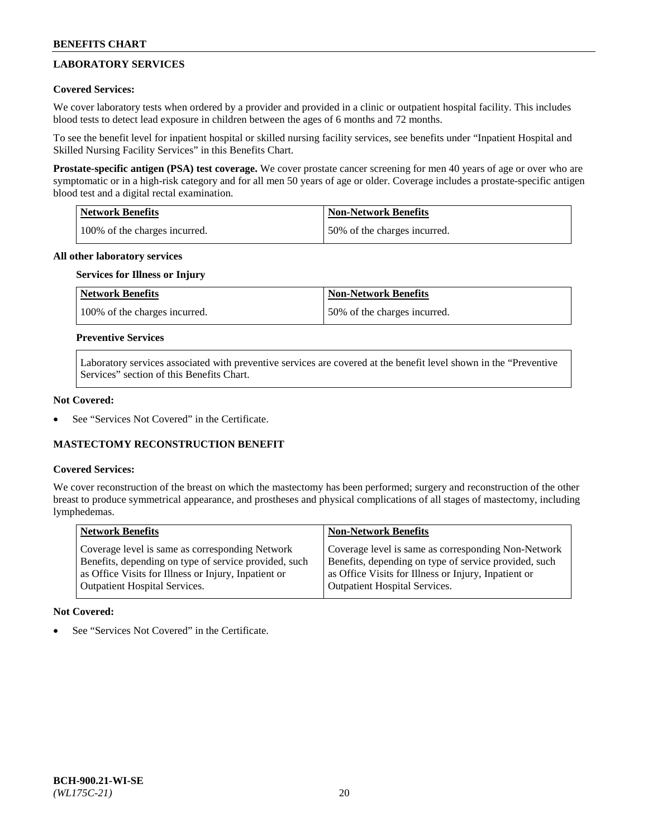## **LABORATORY SERVICES**

## **Covered Services:**

We cover laboratory tests when ordered by a provider and provided in a clinic or outpatient hospital facility. This includes blood tests to detect lead exposure in children between the ages of 6 months and 72 months.

To see the benefit level for inpatient hospital or skilled nursing facility services, see benefits under "Inpatient Hospital and Skilled Nursing Facility Services" in this Benefits Chart.

**Prostate-specific antigen (PSA) test coverage.** We cover prostate cancer screening for men 40 years of age or over who are symptomatic or in a high-risk category and for all men 50 years of age or older. Coverage includes a prostate-specific antigen blood test and a digital rectal examination.

| Network Benefits              | <b>Non-Network Benefits</b>  |
|-------------------------------|------------------------------|
| 100% of the charges incurred. | 50% of the charges incurred. |

### **All other laboratory services**

## **Services for Illness or Injury**

| <b>Network Benefits</b>       | <b>Non-Network Benefits</b>  |
|-------------------------------|------------------------------|
| 100% of the charges incurred. | 50% of the charges incurred. |

### **Preventive Services**

Laboratory services associated with preventive services are covered at the benefit level shown in the "Preventive Services" section of this Benefits Chart.

### **Not Covered:**

See "Services Not Covered" in the Certificate.

## **MASTECTOMY RECONSTRUCTION BENEFIT**

#### **Covered Services:**

We cover reconstruction of the breast on which the mastectomy has been performed; surgery and reconstruction of the other breast to produce symmetrical appearance, and prostheses and physical complications of all stages of mastectomy, including lymphedemas.

| <b>Network Benefits</b>                               | <b>Non-Network Benefits</b>                           |
|-------------------------------------------------------|-------------------------------------------------------|
| Coverage level is same as corresponding Network       | Coverage level is same as corresponding Non-Network   |
| Benefits, depending on type of service provided, such | Benefits, depending on type of service provided, such |
| as Office Visits for Illness or Injury, Inpatient or  | as Office Visits for Illness or Injury, Inpatient or  |
| Outpatient Hospital Services.                         | <b>Outpatient Hospital Services.</b>                  |

#### **Not Covered:**

See "Services Not Covered" in the Certificate.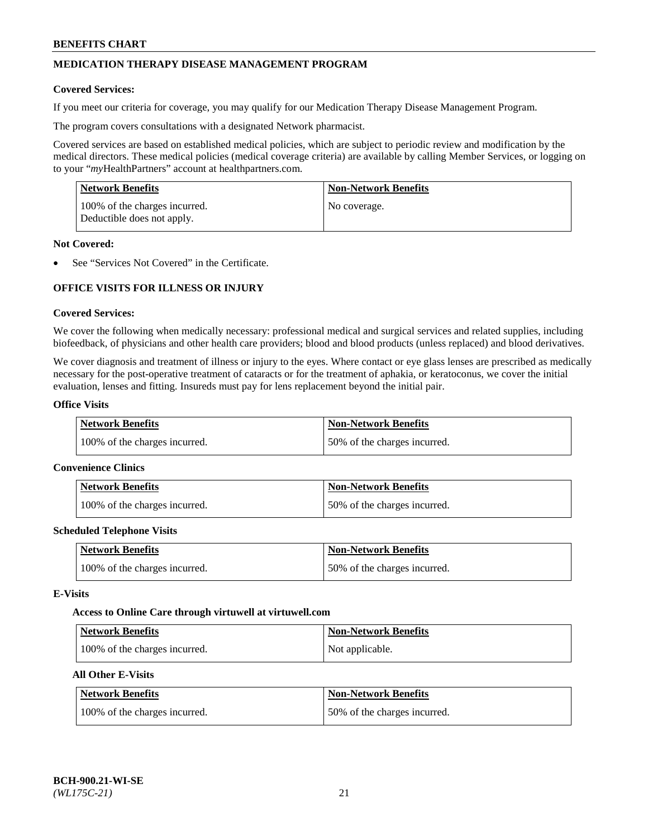## **MEDICATION THERAPY DISEASE MANAGEMENT PROGRAM**

### **Covered Services:**

If you meet our criteria for coverage, you may qualify for our Medication Therapy Disease Management Program.

The program covers consultations with a designated Network pharmacist.

Covered services are based on established medical policies, which are subject to periodic review and modification by the medical directors. These medical policies (medical coverage criteria) are available by calling Member Services, or logging on to your "*my*HealthPartners" account at [healthpartners.com.](http://www.healthpartners.com/)

| Network Benefits                                            | <b>Non-Network Benefits</b> |
|-------------------------------------------------------------|-----------------------------|
| 100% of the charges incurred.<br>Deductible does not apply. | No coverage.                |

### **Not Covered:**

See "Services Not Covered" in the Certificate.

## **OFFICE VISITS FOR ILLNESS OR INJURY**

### **Covered Services:**

We cover the following when medically necessary: professional medical and surgical services and related supplies, including biofeedback, of physicians and other health care providers; blood and blood products (unless replaced) and blood derivatives.

We cover diagnosis and treatment of illness or injury to the eyes. Where contact or eye glass lenses are prescribed as medically necessary for the post-operative treatment of cataracts or for the treatment of aphakia, or keratoconus, we cover the initial evaluation, lenses and fitting. Insureds must pay for lens replacement beyond the initial pair.

## **Office Visits**

| <b>Network Benefits</b>       | <b>Non-Network Benefits</b>  |
|-------------------------------|------------------------------|
| 100% of the charges incurred. | 50% of the charges incurred. |

#### **Convenience Clinics**

| Network Benefits              | <b>Non-Network Benefits</b>  |
|-------------------------------|------------------------------|
| 100% of the charges incurred. | 50% of the charges incurred. |

#### **Scheduled Telephone Visits**

| <b>Network Benefits</b>       | Non-Network Benefits         |
|-------------------------------|------------------------------|
| 100% of the charges incurred. | 50% of the charges incurred. |

### **E-Visits**

#### **Access to Online Care through virtuwell a[t virtuwell.com](https://www.virtuwell.com/)**

| Network Benefits              | <b>Non-Network Benefits</b> |
|-------------------------------|-----------------------------|
| 100% of the charges incurred. | Not applicable.             |

## **All Other E-Visits**

| <b>Network Benefits</b>       | <b>Non-Network Benefits</b>  |
|-------------------------------|------------------------------|
| 100% of the charges incurred. | 50% of the charges incurred. |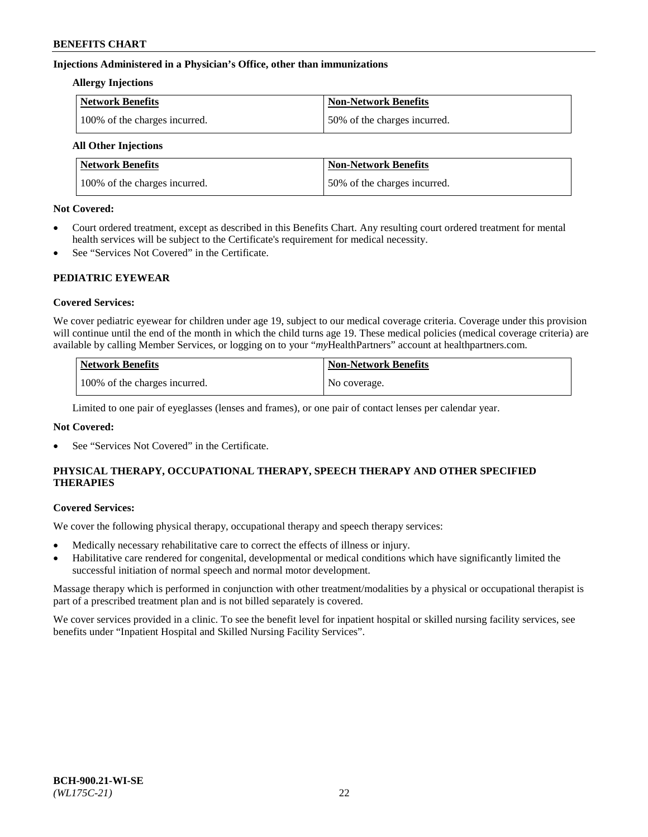## **Injections Administered in a Physician's Office, other than immunizations**

### **Allergy Injections**

| Network Benefits              | <b>Non-Network Benefits</b>  |
|-------------------------------|------------------------------|
| 100% of the charges incurred. | 50% of the charges incurred. |

## **All Other Injections**

| <b>Network Benefits</b>       | <b>Non-Network Benefits</b>  |
|-------------------------------|------------------------------|
| 100% of the charges incurred. | 50% of the charges incurred. |

### **Not Covered:**

- Court ordered treatment, except as described in this Benefits Chart. Any resulting court ordered treatment for mental health services will be subject to the Certificate's requirement for medical necessity.
- See "Services Not Covered" in the Certificate.

## **PEDIATRIC EYEWEAR**

## **Covered Services:**

We cover pediatric eyewear for children under age 19, subject to our medical coverage criteria. Coverage under this provision will continue until the end of the month in which the child turns age 19. These medical policies (medical coverage criteria) are available by calling Member Services, or logging on to your "*my*HealthPartners" account a[t healthpartners.com.](https://www.healthpartners.com/hp/index.html)

| Network Benefits              | <b>Non-Network Benefits</b> |
|-------------------------------|-----------------------------|
| 100% of the charges incurred. | No coverage.                |

Limited to one pair of eyeglasses (lenses and frames), or one pair of contact lenses per calendar year.

## **Not Covered:**

See "Services Not Covered" in the Certificate.

## **PHYSICAL THERAPY, OCCUPATIONAL THERAPY, SPEECH THERAPY AND OTHER SPECIFIED THERAPIES**

#### **Covered Services:**

We cover the following physical therapy, occupational therapy and speech therapy services:

- Medically necessary rehabilitative care to correct the effects of illness or injury.
- Habilitative care rendered for congenital, developmental or medical conditions which have significantly limited the successful initiation of normal speech and normal motor development.

Massage therapy which is performed in conjunction with other treatment/modalities by a physical or occupational therapist is part of a prescribed treatment plan and is not billed separately is covered.

We cover services provided in a clinic. To see the benefit level for inpatient hospital or skilled nursing facility services, see benefits under "Inpatient Hospital and Skilled Nursing Facility Services".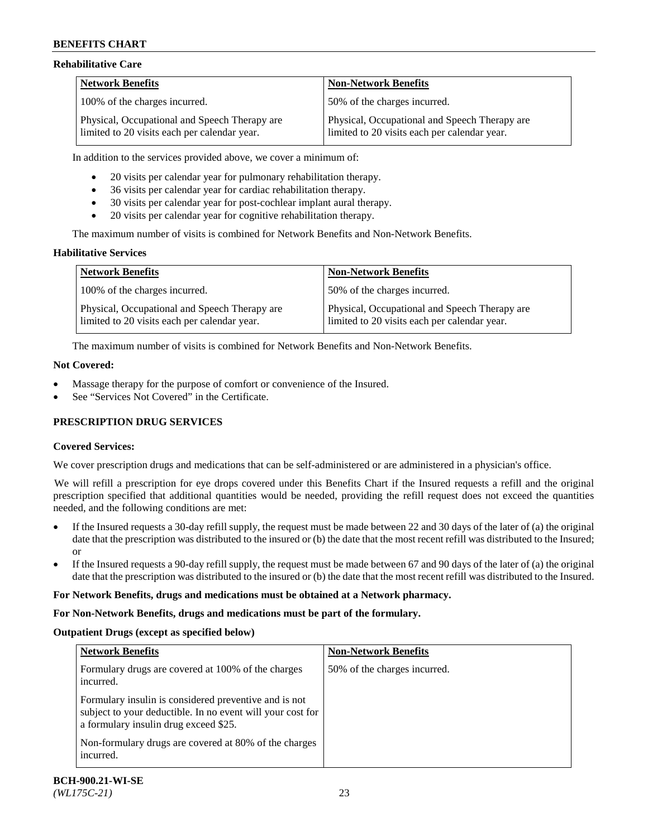### **Rehabilitative Care**

| <b>Network Benefits</b>                                                                       | <b>Non-Network Benefits</b>                                                                   |
|-----------------------------------------------------------------------------------------------|-----------------------------------------------------------------------------------------------|
| 100% of the charges incurred.                                                                 | 50% of the charges incurred.                                                                  |
| Physical, Occupational and Speech Therapy are<br>limited to 20 visits each per calendar year. | Physical, Occupational and Speech Therapy are<br>limited to 20 visits each per calendar year. |

In addition to the services provided above, we cover a minimum of:

- 20 visits per calendar year for pulmonary rehabilitation therapy.
- 36 visits per calendar year for cardiac rehabilitation therapy.
- 30 visits per calendar year for post-cochlear implant aural therapy.
- 20 visits per calendar year for cognitive rehabilitation therapy.

The maximum number of visits is combined for Network Benefits and Non-Network Benefits.

## **Habilitative Services**

| <b>Network Benefits</b>                                                                       | <b>Non-Network Benefits</b>                                                                   |
|-----------------------------------------------------------------------------------------------|-----------------------------------------------------------------------------------------------|
| 100% of the charges incurred.                                                                 | 50% of the charges incurred.                                                                  |
| Physical, Occupational and Speech Therapy are<br>limited to 20 visits each per calendar year. | Physical, Occupational and Speech Therapy are<br>limited to 20 visits each per calendar year. |

The maximum number of visits is combined for Network Benefits and Non-Network Benefits.

### **Not Covered:**

- Massage therapy for the purpose of comfort or convenience of the Insured.
- See "Services Not Covered" in the Certificate.

## **PRESCRIPTION DRUG SERVICES**

## **Covered Services:**

We cover prescription drugs and medications that can be self-administered or are administered in a physician's office.

We will refill a prescription for eye drops covered under this Benefits Chart if the Insured requests a refill and the original prescription specified that additional quantities would be needed, providing the refill request does not exceed the quantities needed, and the following conditions are met:

- If the Insured requests a 30-day refill supply, the request must be made between 22 and 30 days of the later of (a) the original date that the prescription was distributed to the insured or (b) the date that the most recent refill was distributed to the Insured; or
- If the Insured requests a 90-day refill supply, the request must be made between 67 and 90 days of the later of (a) the original date that the prescription was distributed to the insured or (b) the date that the most recent refill was distributed to the Insured.

#### **For Network Benefits, drugs and medications must be obtained at a Network pharmacy.**

#### **For Non-Network Benefits, drugs and medications must be part of the formulary.**

#### **Outpatient Drugs (except as specified below)**

| <b>Network Benefits</b>                                                                                                                                      | <b>Non-Network Benefits</b>  |
|--------------------------------------------------------------------------------------------------------------------------------------------------------------|------------------------------|
| Formulary drugs are covered at 100% of the charges<br>incurred.                                                                                              | 50% of the charges incurred. |
| Formulary insulin is considered preventive and is not<br>subject to your deductible. In no event will your cost for<br>a formulary insulin drug exceed \$25. |                              |
| Non-formulary drugs are covered at 80% of the charges<br>incurred.                                                                                           |                              |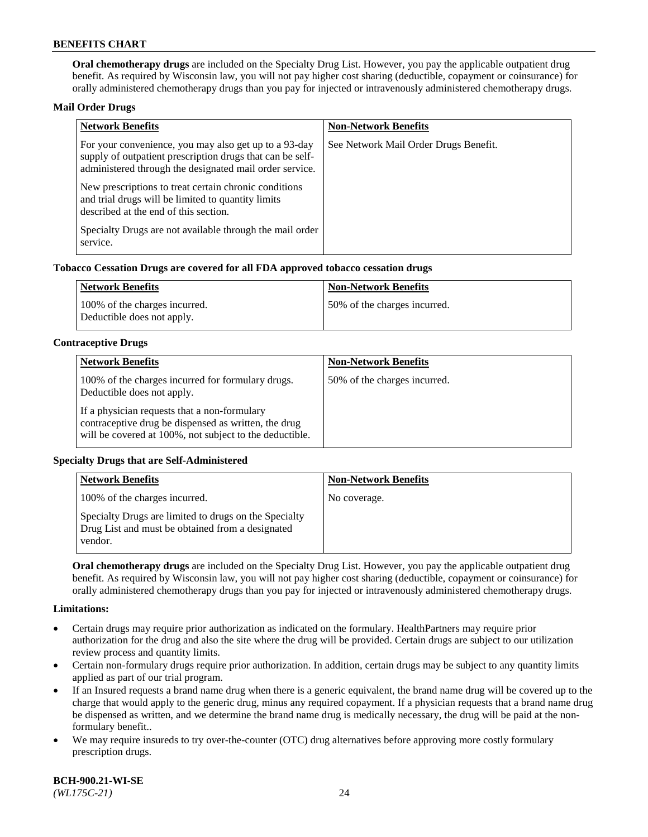**Oral chemotherapy drugs** are included on the Specialty Drug List. However, you pay the applicable outpatient drug benefit. As required by Wisconsin law, you will not pay higher cost sharing (deductible, copayment or coinsurance) for orally administered chemotherapy drugs than you pay for injected or intravenously administered chemotherapy drugs.

### **Mail Order Drugs**

| <b>Network Benefits</b>                                                                                                                                                       | <b>Non-Network Benefits</b>           |
|-------------------------------------------------------------------------------------------------------------------------------------------------------------------------------|---------------------------------------|
| For your convenience, you may also get up to a 93-day<br>supply of outpatient prescription drugs that can be self-<br>administered through the designated mail order service. | See Network Mail Order Drugs Benefit. |
| New prescriptions to treat certain chronic conditions<br>and trial drugs will be limited to quantity limits<br>described at the end of this section.                          |                                       |
| Specialty Drugs are not available through the mail order<br>service.                                                                                                          |                                       |

### **Tobacco Cessation Drugs are covered for all FDA approved tobacco cessation drugs**

| Network Benefits                                            | Non-Network Benefits         |
|-------------------------------------------------------------|------------------------------|
| 100% of the charges incurred.<br>Deductible does not apply. | 50% of the charges incurred. |

### **Contraceptive Drugs**

| <b>Network Benefits</b>                                                                                                                                         | <b>Non-Network Benefits</b>  |
|-----------------------------------------------------------------------------------------------------------------------------------------------------------------|------------------------------|
| 100% of the charges incurred for formulary drugs.<br>Deductible does not apply.                                                                                 | 50% of the charges incurred. |
| If a physician requests that a non-formulary<br>contraceptive drug be dispensed as written, the drug<br>will be covered at 100%, not subject to the deductible. |                              |

## **Specialty Drugs that are Self-Administered**

| <b>Network Benefits</b>                                                                                              | <b>Non-Network Benefits</b> |
|----------------------------------------------------------------------------------------------------------------------|-----------------------------|
| 100% of the charges incurred.                                                                                        | No coverage.                |
| Specialty Drugs are limited to drugs on the Specialty<br>Drug List and must be obtained from a designated<br>vendor. |                             |

**Oral chemotherapy drugs** are included on the Specialty Drug List. However, you pay the applicable outpatient drug benefit. As required by Wisconsin law, you will not pay higher cost sharing (deductible, copayment or coinsurance) for orally administered chemotherapy drugs than you pay for injected or intravenously administered chemotherapy drugs.

#### **Limitations:**

- Certain drugs may require prior authorization as indicated on the formulary. HealthPartners may require prior authorization for the drug and also the site where the drug will be provided. Certain drugs are subject to our utilization review process and quantity limits.
- Certain non-formulary drugs require prior authorization. In addition, certain drugs may be subject to any quantity limits applied as part of our trial program.
- If an Insured requests a brand name drug when there is a generic equivalent, the brand name drug will be covered up to the charge that would apply to the generic drug, minus any required copayment. If a physician requests that a brand name drug be dispensed as written, and we determine the brand name drug is medically necessary, the drug will be paid at the nonformulary benefit..
- We may require insureds to try over-the-counter (OTC) drug alternatives before approving more costly formulary prescription drugs.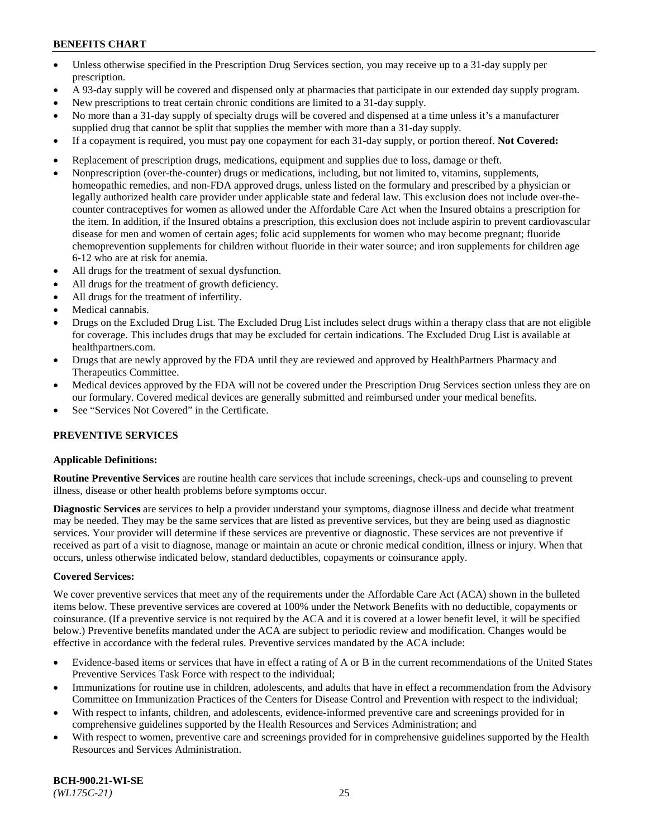- Unless otherwise specified in the Prescription Drug Services section, you may receive up to a 31-day supply per prescription.
- A 93-day supply will be covered and dispensed only at pharmacies that participate in our extended day supply program.
- New prescriptions to treat certain chronic conditions are limited to a 31-day supply.
- No more than a 31-day supply of specialty drugs will be covered and dispensed at a time unless it's a manufacturer supplied drug that cannot be split that supplies the member with more than a 31-day supply.
- If a copayment is required, you must pay one copayment for each 31-day supply, or portion thereof. **Not Covered:**
- Replacement of prescription drugs, medications, equipment and supplies due to loss, damage or theft.
- Nonprescription (over-the-counter) drugs or medications, including, but not limited to, vitamins, supplements, homeopathic remedies, and non-FDA approved drugs, unless listed on the formulary and prescribed by a physician or legally authorized health care provider under applicable state and federal law. This exclusion does not include over-thecounter contraceptives for women as allowed under the Affordable Care Act when the Insured obtains a prescription for the item. In addition, if the Insured obtains a prescription, this exclusion does not include aspirin to prevent cardiovascular disease for men and women of certain ages; folic acid supplements for women who may become pregnant; fluoride chemoprevention supplements for children without fluoride in their water source; and iron supplements for children age 6-12 who are at risk for anemia.
- All drugs for the treatment of sexual dysfunction.
- All drugs for the treatment of growth deficiency.
- All drugs for the treatment of infertility.
- Medical cannabis.
- Drugs on the Excluded Drug List. The Excluded Drug List includes select drugs within a therapy class that are not eligible for coverage. This includes drugs that may be excluded for certain indications. The Excluded Drug List is available at [healthpartners.com.](http://www.healthpartners.com/)
- Drugs that are newly approved by the FDA until they are reviewed and approved by HealthPartners Pharmacy and Therapeutics Committee.
- Medical devices approved by the FDA will not be covered under the Prescription Drug Services section unless they are on our formulary. Covered medical devices are generally submitted and reimbursed under your medical benefits.
- See "Services Not Covered" in the Certificate.

## **PREVENTIVE SERVICES**

#### **Applicable Definitions:**

**Routine Preventive Services** are routine health care services that include screenings, check-ups and counseling to prevent illness, disease or other health problems before symptoms occur.

**Diagnostic Services** are services to help a provider understand your symptoms, diagnose illness and decide what treatment may be needed. They may be the same services that are listed as preventive services, but they are being used as diagnostic services. Your provider will determine if these services are preventive or diagnostic. These services are not preventive if received as part of a visit to diagnose, manage or maintain an acute or chronic medical condition, illness or injury. When that occurs, unless otherwise indicated below, standard deductibles, copayments or coinsurance apply.

#### **Covered Services:**

We cover preventive services that meet any of the requirements under the Affordable Care Act (ACA) shown in the bulleted items below. These preventive services are covered at 100% under the Network Benefits with no deductible, copayments or coinsurance. (If a preventive service is not required by the ACA and it is covered at a lower benefit level, it will be specified below.) Preventive benefits mandated under the ACA are subject to periodic review and modification. Changes would be effective in accordance with the federal rules. Preventive services mandated by the ACA include:

- Evidence-based items or services that have in effect a rating of A or B in the current recommendations of the United States Preventive Services Task Force with respect to the individual;
- Immunizations for routine use in children, adolescents, and adults that have in effect a recommendation from the Advisory Committee on Immunization Practices of the Centers for Disease Control and Prevention with respect to the individual;
- With respect to infants, children, and adolescents, evidence-informed preventive care and screenings provided for in comprehensive guidelines supported by the Health Resources and Services Administration; and
- With respect to women, preventive care and screenings provided for in comprehensive guidelines supported by the Health Resources and Services Administration.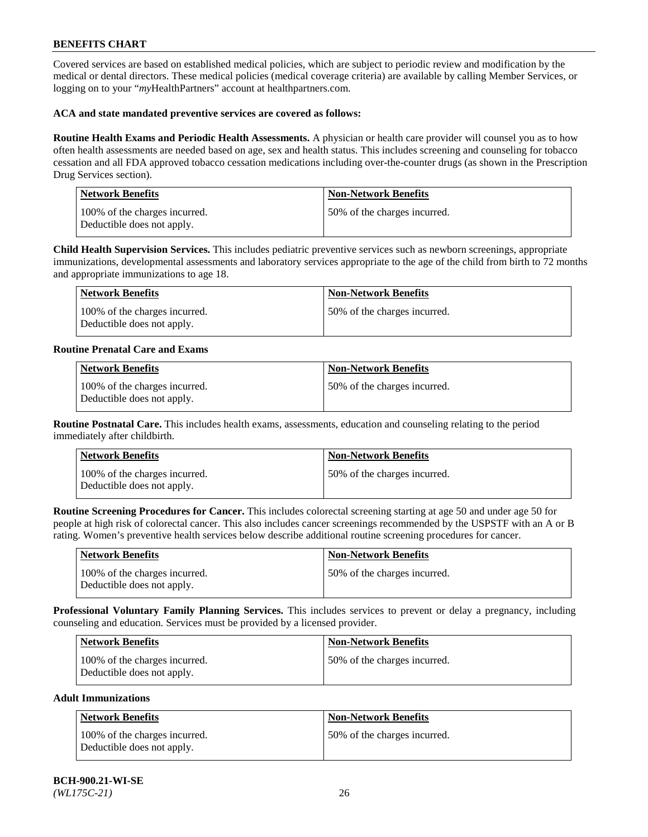Covered services are based on established medical policies, which are subject to periodic review and modification by the medical or dental directors. These medical policies (medical coverage criteria) are available by calling Member Services, or logging on to your "*my*HealthPartners" account at [healthpartners.com.](https://www.healthpartners.com/hp/index.html)

### **ACA and state mandated preventive services are covered as follows:**

**Routine Health Exams and Periodic Health Assessments.** A physician or health care provider will counsel you as to how often health assessments are needed based on age, sex and health status. This includes screening and counseling for tobacco cessation and all FDA approved tobacco cessation medications including over-the-counter drugs (as shown in the Prescription Drug Services section).

| <b>Network Benefits</b>                                     | <b>Non-Network Benefits</b>  |
|-------------------------------------------------------------|------------------------------|
| 100% of the charges incurred.<br>Deductible does not apply. | 50% of the charges incurred. |

**Child Health Supervision Services.** This includes pediatric preventive services such as newborn screenings, appropriate immunizations, developmental assessments and laboratory services appropriate to the age of the child from birth to 72 months and appropriate immunizations to age 18.

| Network Benefits                                            | Non-Network Benefits         |
|-------------------------------------------------------------|------------------------------|
| 100% of the charges incurred.<br>Deductible does not apply. | 50% of the charges incurred. |

### **Routine Prenatal Care and Exams**

| <b>Network Benefits</b>                                     | <b>Non-Network Benefits</b>  |
|-------------------------------------------------------------|------------------------------|
| 100% of the charges incurred.<br>Deductible does not apply. | 50% of the charges incurred. |

**Routine Postnatal Care.** This includes health exams, assessments, education and counseling relating to the period immediately after childbirth.

| Network Benefits                                            | <b>Non-Network Benefits</b>  |
|-------------------------------------------------------------|------------------------------|
| 100% of the charges incurred.<br>Deductible does not apply. | 50% of the charges incurred. |

**Routine Screening Procedures for Cancer.** This includes colorectal screening starting at age 50 and under age 50 for people at high risk of colorectal cancer. This also includes cancer screenings recommended by the USPSTF with an A or B rating. Women's preventive health services below describe additional routine screening procedures for cancer.

| <b>Network Benefits</b>                                     | Non-Network Benefits         |
|-------------------------------------------------------------|------------------------------|
| 100% of the charges incurred.<br>Deductible does not apply. | 50% of the charges incurred. |

**Professional Voluntary Family Planning Services.** This includes services to prevent or delay a pregnancy, including counseling and education. Services must be provided by a licensed provider.

| <b>Network Benefits</b>                                     | <b>Non-Network Benefits</b>   |
|-------------------------------------------------------------|-------------------------------|
| 100% of the charges incurred.<br>Deductible does not apply. | 150% of the charges incurred. |

### **Adult Immunizations**

| <b>Network Benefits</b>                                     | <b>Non-Network Benefits</b>  |
|-------------------------------------------------------------|------------------------------|
| 100% of the charges incurred.<br>Deductible does not apply. | 50% of the charges incurred. |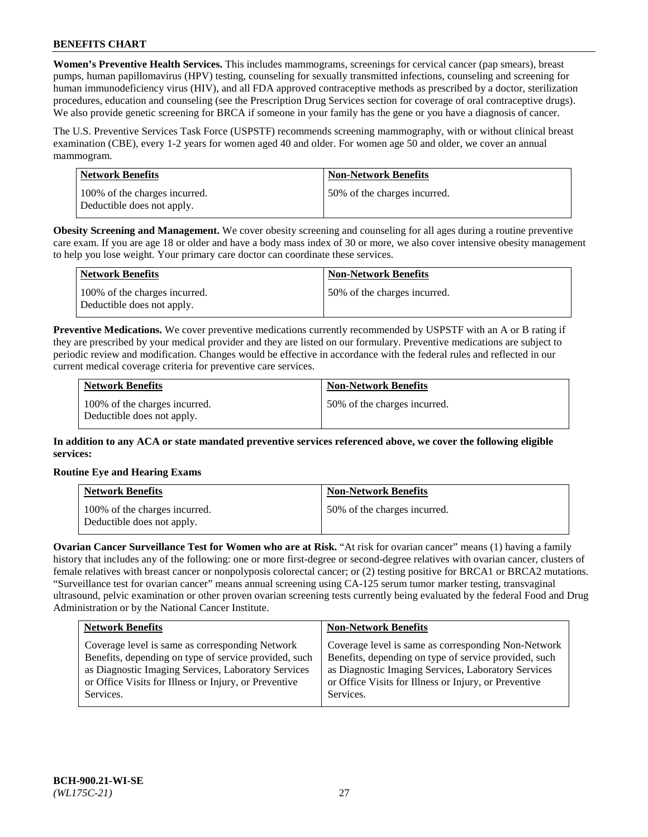**Women's Preventive Health Services.** This includes mammograms, screenings for cervical cancer (pap smears), breast pumps, human papillomavirus (HPV) testing, counseling for sexually transmitted infections, counseling and screening for human immunodeficiency virus (HIV), and all FDA approved contraceptive methods as prescribed by a doctor, sterilization procedures, education and counseling (see the Prescription Drug Services section for coverage of oral contraceptive drugs). We also provide genetic screening for BRCA if someone in your family has the gene or you have a diagnosis of cancer.

The U.S. Preventive Services Task Force (USPSTF) recommends screening mammography, with or without clinical breast examination (CBE), every 1-2 years for women aged 40 and older. For women age 50 and older, we cover an annual mammogram.

| Network Benefits                                            | <b>Non-Network Benefits</b>  |
|-------------------------------------------------------------|------------------------------|
| 100% of the charges incurred.<br>Deductible does not apply. | 50% of the charges incurred. |

**Obesity Screening and Management.** We cover obesity screening and counseling for all ages during a routine preventive care exam. If you are age 18 or older and have a body mass index of 30 or more, we also cover intensive obesity management to help you lose weight. Your primary care doctor can coordinate these services.

| Network Benefits                                            | <b>Non-Network Benefits</b>  |
|-------------------------------------------------------------|------------------------------|
| 100% of the charges incurred.<br>Deductible does not apply. | 50% of the charges incurred. |

**Preventive Medications.** We cover preventive medications currently recommended by USPSTF with an A or B rating if they are prescribed by your medical provider and they are listed on our formulary. Preventive medications are subject to periodic review and modification. Changes would be effective in accordance with the federal rules and reflected in our current medical coverage criteria for preventive care services.

| <b>Network Benefits</b>                                     | <b>Non-Network Benefits</b>  |
|-------------------------------------------------------------|------------------------------|
| 100% of the charges incurred.<br>Deductible does not apply. | 50% of the charges incurred. |

**In addition to any ACA or state mandated preventive services referenced above, we cover the following eligible services:**

## **Routine Eye and Hearing Exams**

| <b>Network Benefits</b>                                     | <b>Non-Network Benefits</b>  |
|-------------------------------------------------------------|------------------------------|
| 100% of the charges incurred.<br>Deductible does not apply. | 50% of the charges incurred. |

**Ovarian Cancer Surveillance Test for Women who are at Risk.** "At risk for ovarian cancer" means (1) having a family history that includes any of the following: one or more first-degree or second-degree relatives with ovarian cancer, clusters of female relatives with breast cancer or nonpolyposis colorectal cancer; or (2) testing positive for BRCA1 or BRCA2 mutations. "Surveillance test for ovarian cancer" means annual screening using CA-125 serum tumor marker testing, transvaginal ultrasound, pelvic examination or other proven ovarian screening tests currently being evaluated by the federal Food and Drug Administration or by the National Cancer Institute.

| <b>Network Benefits</b>                               | <b>Non-Network Benefits</b>                           |
|-------------------------------------------------------|-------------------------------------------------------|
| Coverage level is same as corresponding Network       | Coverage level is same as corresponding Non-Network   |
| Benefits, depending on type of service provided, such | Benefits, depending on type of service provided, such |
| as Diagnostic Imaging Services, Laboratory Services   | as Diagnostic Imaging Services, Laboratory Services   |
| or Office Visits for Illness or Injury, or Preventive | or Office Visits for Illness or Injury, or Preventive |
| Services.                                             | Services.                                             |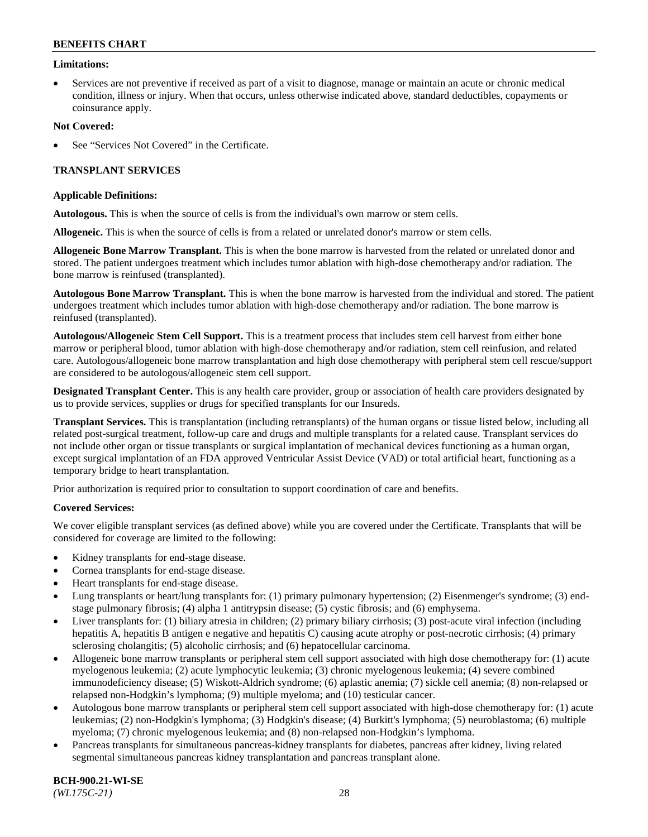### **Limitations:**

• Services are not preventive if received as part of a visit to diagnose, manage or maintain an acute or chronic medical condition, illness or injury. When that occurs, unless otherwise indicated above, standard deductibles, copayments or coinsurance apply.

### **Not Covered:**

See "Services Not Covered" in the Certificate.

## **TRANSPLANT SERVICES**

### **Applicable Definitions:**

**Autologous.** This is when the source of cells is from the individual's own marrow or stem cells.

**Allogeneic.** This is when the source of cells is from a related or unrelated donor's marrow or stem cells.

**Allogeneic Bone Marrow Transplant.** This is when the bone marrow is harvested from the related or unrelated donor and stored. The patient undergoes treatment which includes tumor ablation with high-dose chemotherapy and/or radiation. The bone marrow is reinfused (transplanted).

**Autologous Bone Marrow Transplant.** This is when the bone marrow is harvested from the individual and stored. The patient undergoes treatment which includes tumor ablation with high-dose chemotherapy and/or radiation. The bone marrow is reinfused (transplanted).

**Autologous/Allogeneic Stem Cell Support.** This is a treatment process that includes stem cell harvest from either bone marrow or peripheral blood, tumor ablation with high-dose chemotherapy and/or radiation, stem cell reinfusion, and related care. Autologous/allogeneic bone marrow transplantation and high dose chemotherapy with peripheral stem cell rescue/support are considered to be autologous/allogeneic stem cell support.

**Designated Transplant Center.** This is any health care provider, group or association of health care providers designated by us to provide services, supplies or drugs for specified transplants for our Insureds.

**Transplant Services.** This is transplantation (including retransplants) of the human organs or tissue listed below, including all related post-surgical treatment, follow-up care and drugs and multiple transplants for a related cause. Transplant services do not include other organ or tissue transplants or surgical implantation of mechanical devices functioning as a human organ, except surgical implantation of an FDA approved Ventricular Assist Device (VAD) or total artificial heart, functioning as a temporary bridge to heart transplantation.

Prior authorization is required prior to consultation to support coordination of care and benefits.

## **Covered Services:**

We cover eligible transplant services (as defined above) while you are covered under the Certificate. Transplants that will be considered for coverage are limited to the following:

- Kidney transplants for end-stage disease.
- Cornea transplants for end-stage disease.
- Heart transplants for end-stage disease.
- Lung transplants or heart/lung transplants for: (1) primary pulmonary hypertension; (2) Eisenmenger's syndrome; (3) endstage pulmonary fibrosis; (4) alpha 1 antitrypsin disease; (5) cystic fibrosis; and (6) emphysema.
- Liver transplants for: (1) biliary atresia in children; (2) primary biliary cirrhosis; (3) post-acute viral infection (including hepatitis A, hepatitis B antigen e negative and hepatitis C) causing acute atrophy or post-necrotic cirrhosis; (4) primary sclerosing cholangitis; (5) alcoholic cirrhosis; and (6) hepatocellular carcinoma.
- Allogeneic bone marrow transplants or peripheral stem cell support associated with high dose chemotherapy for: (1) acute myelogenous leukemia; (2) acute lymphocytic leukemia; (3) chronic myelogenous leukemia; (4) severe combined immunodeficiency disease; (5) Wiskott-Aldrich syndrome; (6) aplastic anemia; (7) sickle cell anemia; (8) non-relapsed or relapsed non-Hodgkin's lymphoma; (9) multiple myeloma; and (10) testicular cancer.
- Autologous bone marrow transplants or peripheral stem cell support associated with high-dose chemotherapy for: (1) acute leukemias; (2) non-Hodgkin's lymphoma; (3) Hodgkin's disease; (4) Burkitt's lymphoma; (5) neuroblastoma; (6) multiple myeloma; (7) chronic myelogenous leukemia; and (8) non-relapsed non-Hodgkin's lymphoma.
- Pancreas transplants for simultaneous pancreas-kidney transplants for diabetes, pancreas after kidney, living related segmental simultaneous pancreas kidney transplantation and pancreas transplant alone.